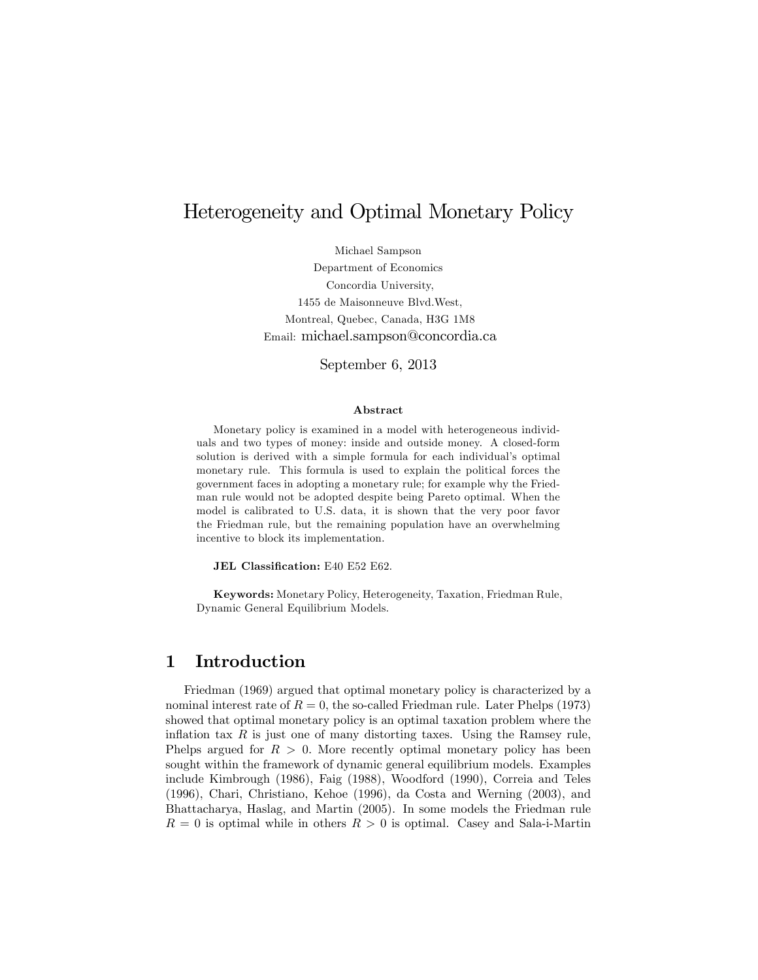# Heterogeneity and Optimal Monetary Policy

Michael Sampson Department of Economics Concordia University, 1455 de Maisonneuve Blvd.West, Montreal, Quebec, Canada, H3G 1M8 Email: michael.sampson@concordia.ca

September 6, 2013

#### Abstract

Monetary policy is examined in a model with heterogeneous individuals and two types of money: inside and outside money. A closed-form solution is derived with a simple formula for each individual's optimal monetary rule. This formula is used to explain the political forces the government faces in adopting a monetary rule; for example why the Friedman rule would not be adopted despite being Pareto optimal. When the model is calibrated to U.S. data, it is shown that the very poor favor the Friedman rule, but the remaining population have an overwhelming incentive to block its implementation.

JEL Classification: E40 E52 E62.

Keywords: Monetary Policy, Heterogeneity, Taxation, Friedman Rule, Dynamic General Equilibrium Models.

# 1 Introduction

Friedman (1969) argued that optimal monetary policy is characterized by a nominal interest rate of  $R = 0$ , the so-called Friedman rule. Later Phelps (1973) showed that optimal monetary policy is an optimal taxation problem where the inflation tax  $R$  is just one of many distorting taxes. Using the Ramsey rule, Phelps argued for  $R > 0$ . More recently optimal monetary policy has been sought within the framework of dynamic general equilibrium models. Examples include Kimbrough (1986), Faig (1988), Woodford (1990), Correia and Teles (1996), Chari, Christiano, Kehoe (1996), da Costa and Werning (2003), and Bhattacharya, Haslag, and Martin (2005). In some models the Friedman rule  $R = 0$  is optimal while in others  $R > 0$  is optimal. Casey and Sala-i-Martin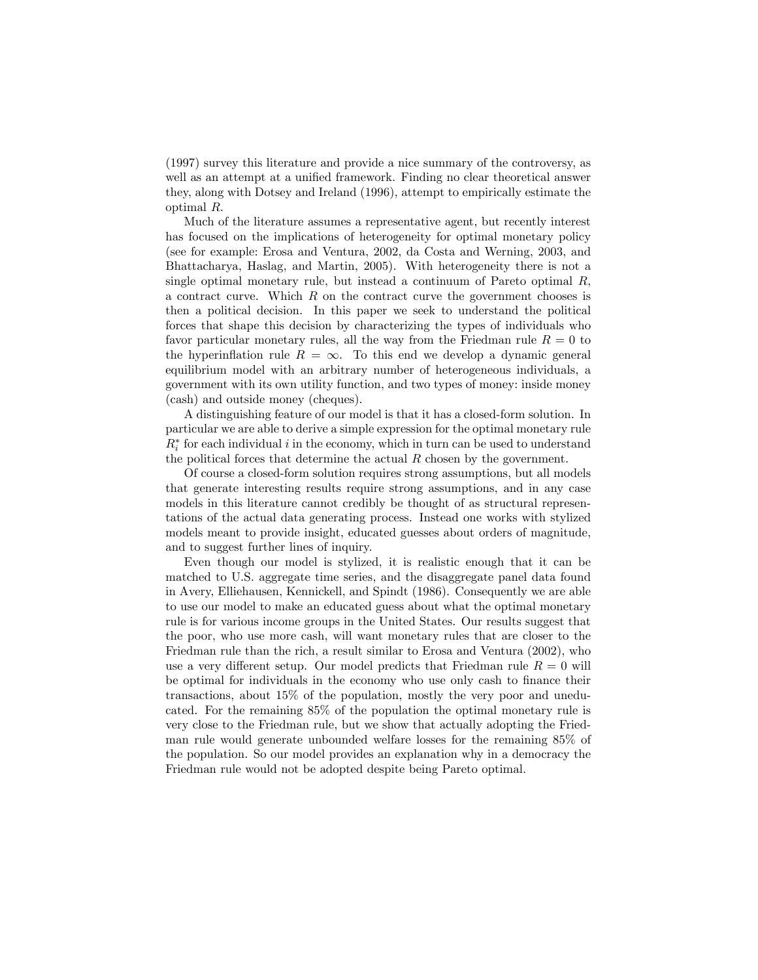(1997) survey this literature and provide a nice summary of the controversy, as well as an attempt at a unified framework. Finding no clear theoretical answer they, along with Dotsey and Ireland (1996), attempt to empirically estimate the optimal R:

Much of the literature assumes a representative agent, but recently interest has focused on the implications of heterogeneity for optimal monetary policy (see for example: Erosa and Ventura, 2002, da Costa and Werning, 2003, and Bhattacharya, Haslag, and Martin, 2005). With heterogeneity there is not a single optimal monetary rule, but instead a continuum of Pareto optimal  $R$ , a contract curve. Which  $R$  on the contract curve the government chooses is then a political decision. In this paper we seek to understand the political forces that shape this decision by characterizing the types of individuals who favor particular monetary rules, all the way from the Friedman rule  $R = 0$  to the hyperinflation rule  $R = \infty$ . To this end we develop a dynamic general equilibrium model with an arbitrary number of heterogeneous individuals, a government with its own utility function, and two types of money: inside money (cash) and outside money (cheques).

A distinguishing feature of our model is that it has a closed-form solution. In particular we are able to derive a simple expression for the optimal monetary rule  $R_i^*$  for each individual i in the economy, which in turn can be used to understand the political forces that determine the actual  $R$  chosen by the government.

Of course a closed-form solution requires strong assumptions, but all models that generate interesting results require strong assumptions, and in any case models in this literature cannot credibly be thought of as structural representations of the actual data generating process. Instead one works with stylized models meant to provide insight, educated guesses about orders of magnitude, and to suggest further lines of inquiry.

Even though our model is stylized, it is realistic enough that it can be matched to U.S. aggregate time series, and the disaggregate panel data found in Avery, Elliehausen, Kennickell, and Spindt (1986). Consequently we are able to use our model to make an educated guess about what the optimal monetary rule is for various income groups in the United States. Our results suggest that the poor, who use more cash, will want monetary rules that are closer to the Friedman rule than the rich, a result similar to Erosa and Ventura (2002), who use a very different setup. Our model predicts that Friedman rule  $R = 0$  will be optimal for individuals in the economy who use only cash to finance their transactions, about 15% of the population, mostly the very poor and uneducated. For the remaining 85% of the population the optimal monetary rule is very close to the Friedman rule, but we show that actually adopting the Friedman rule would generate unbounded welfare losses for the remaining 85% of the population. So our model provides an explanation why in a democracy the Friedman rule would not be adopted despite being Pareto optimal.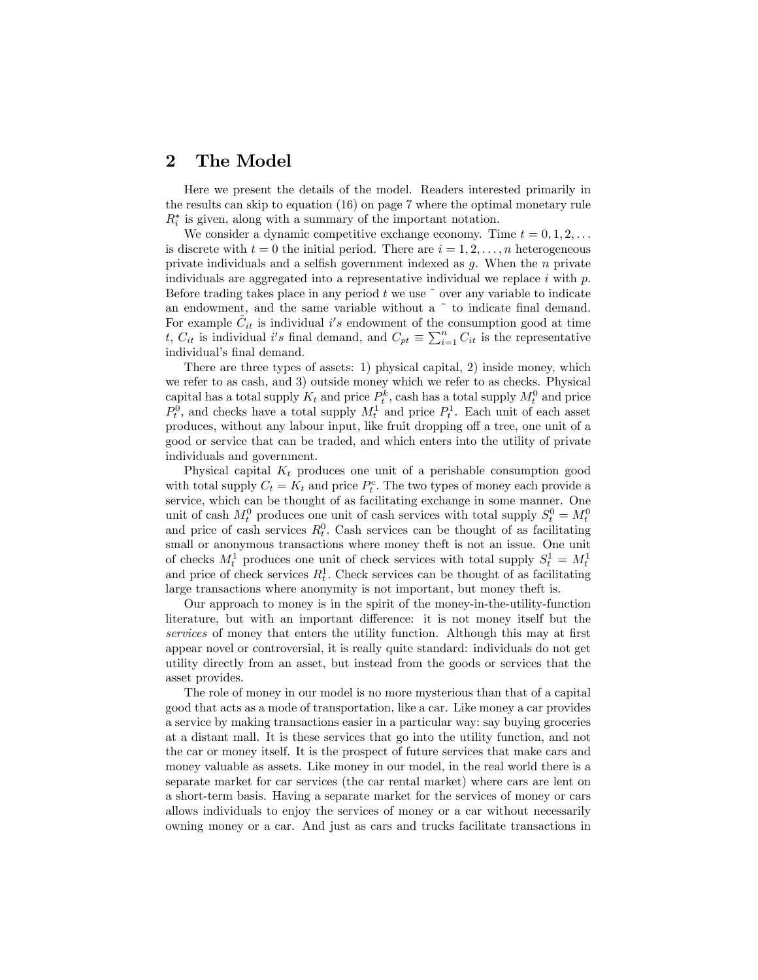## 2 The Model

Here we present the details of the model. Readers interested primarily in the results can skip to equation (16) on page 7 where the optimal monetary rule  $R_i^*$  is given, along with a summary of the important notation.

We consider a dynamic competitive exchange economy. Time  $t = 0, 1, 2, \ldots$ is discrete with  $t = 0$  the initial period. There are  $i = 1, 2, \ldots, n$  heterogeneous private individuals and a selfish government indexed as  $g$ . When the  $n$  private individuals are aggregated into a representative individual we replace  $i$  with  $p$ . Before trading takes place in any period  $t$  we use  $\tilde{ }$  over any variable to indicate an endowment, and the same variable without a  $\degree$  to indicate final demand. For example  $\tilde{C}_{it}$  is individual i's endowment of the consumption good at time t,  $C_{it}$  is individual i's final demand, and  $C_{pt} \equiv \sum_{i=1}^{n} C_{it}$  is the representative individual's final demand.

There are three types of assets: 1) physical capital, 2) inside money, which we refer to as cash, and 3) outside money which we refer to as checks. Physical capital has a total supply  $K_t$  and price  $P_t^k$ , cash has a total supply  $M_t^0$  and price  $P_t^0$ , and checks have a total supply  $M_t^1$  and price  $P_t^1$ . Each unit of each asset produces, without any labour input, like fruit dropping off a tree, one unit of a good or service that can be traded, and which enters into the utility of private individuals and government.

Physical capital  $K_t$  produces one unit of a perishable consumption good with total supply  $C_t = K_t$  and price  $P_t^c$ . The two types of money each provide a service, which can be thought of as facilitating exchange in some manner. One unit of cash  $M_t^0$  produces one unit of cash services with total supply  $S_t^0 = M_t^0$ and price of cash services  $R_t^0$ . Cash services can be thought of as facilitating small or anonymous transactions where money theft is not an issue. One unit of checks  $M_t^1$  produces one unit of check services with total supply  $S_t^1 = M_t^1$ and price of check services  $R_t^1$ . Check services can be thought of as facilitating large transactions where anonymity is not important, but money theft is.

Our approach to money is in the spirit of the money-in-the-utility-function literature, but with an important difference: it is not money itself but the services of money that enters the utility function. Although this may at first appear novel or controversial, it is really quite standard: individuals do not get utility directly from an asset, but instead from the goods or services that the asset provides.

The role of money in our model is no more mysterious than that of a capital good that acts as a mode of transportation, like a car. Like money a car provides a service by making transactions easier in a particular way: say buying groceries at a distant mall. It is these services that go into the utility function, and not the car or money itself. It is the prospect of future services that make cars and money valuable as assets. Like money in our model, in the real world there is a separate market for car services (the car rental market) where cars are lent on a short-term basis. Having a separate market for the services of money or cars allows individuals to enjoy the services of money or a car without necessarily owning money or a car. And just as cars and trucks facilitate transactions in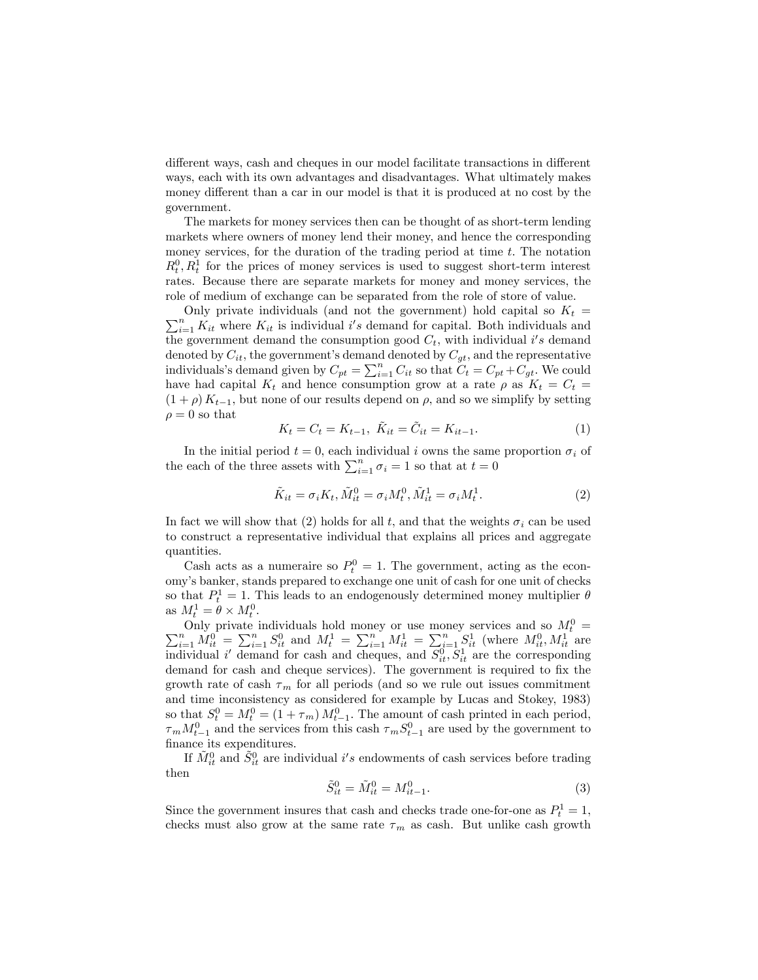different ways, cash and cheques in our model facilitate transactions in different ways, each with its own advantages and disadvantages. What ultimately makes money different than a car in our model is that it is produced at no cost by the government.

The markets for money services then can be thought of as short-term lending markets where owners of money lend their money, and hence the corresponding money services, for the duration of the trading period at time  $t$ . The notation  $R_t^0, R_t^1$  for the prices of money services is used to suggest short-term interest rates. Because there are separate markets for money and money services, the role of medium of exchange can be separated from the role of store of value.

 $\sum_{i=1}^{n} K_{it}$  where  $K_{it}$  is individual i's demand for capital. Both individuals and Only private individuals (and not the government) hold capital so  $K_t =$ the government demand the consumption good  $C_t$ , with individual i's demand denoted by  $C_{it}$ , the government's demand denoted by  $C_{gt}$ , and the representative individuals's demand given by  $C_{pt} = \sum_{i=1}^{n} C_{it}$  so that  $C_t = C_{pt} + C_{gt}$ . We could have had capital  $K_t$  and hence consumption grow at a rate  $\rho$  as  $K_t = C_t$  =  $(1 + \rho) K_{t-1}$ , but none of our results depend on  $\rho$ , and so we simplify by setting  $\rho = 0$  so that

$$
K_t = C_t = K_{t-1}, \ \tilde{K}_{it} = \tilde{C}_{it} = K_{it-1}.
$$
 (1)

In the initial period  $t = 0$ , each individual i owns the same proportion  $\sigma_i$  of the each of the three assets with  $\sum_{i=1}^{n} \sigma_i = 1$  so that at  $t = 0$ 

$$
\tilde{K}_{it} = \sigma_i K_t, \tilde{M}_{it}^0 = \sigma_i M_t^0, \tilde{M}_{it}^1 = \sigma_i M_t^1.
$$
\n(2)

In fact we will show that (2) holds for all t, and that the weights  $\sigma_i$  can be used to construct a representative individual that explains all prices and aggregate quantities.

Cash acts as a numeraire so  $P_t^0 = 1$ . The government, acting as the economyís banker, stands prepared to exchange one unit of cash for one unit of checks so that  $P_t^1 = 1$ . This leads to an endogenously determined money multiplier  $\theta$ as  $M_t^1 = \theta \times M_t^0$ .

Only private individuals hold money or use money services and so  $M_t^0 = \sum_{i=1}^n M_{it}^0 = \sum_{i=1}^n S_{it}^0$  and  $M_t^1 = \sum_{i=1}^n M_{it}^1 = \sum_{i=1}^n S_{it}^1$  (where  $M_{it}^0, M_{it}^1$  are individual i' demand for cash and cheques, and  $S_{it}^0, S_{it}^1$  are the corresponding demand for cash and cheque services). The government is required to fix the growth rate of cash  $\tau_m$  for all periods (and so we rule out issues commitment and time inconsistency as considered for example by Lucas and Stokey, 1983) so that  $S_t^0 = M_t^0 = (1 + \tau_m) M_{t-1}^0$ . The amount of cash printed in each period,  $\tau_m M_{t-1}^0$  and the services from this cash  $\tau_m S_{t-1}^0$  are used by the government to finance its expenditures.

If  $\tilde{M}^0_{it}$  and  $\tilde{S}^0_{it}$  are individual  $i's$  endowments of cash services before trading then

$$
\tilde{S}_{it}^{0} = \tilde{M}_{it}^{0} = M_{it-1}^{0}.
$$
\n(3)

Since the government insures that cash and checks trade one-for-one as  $P_t^1 = 1$ , checks must also grow at the same rate  $\tau_m$  as cash. But unlike cash growth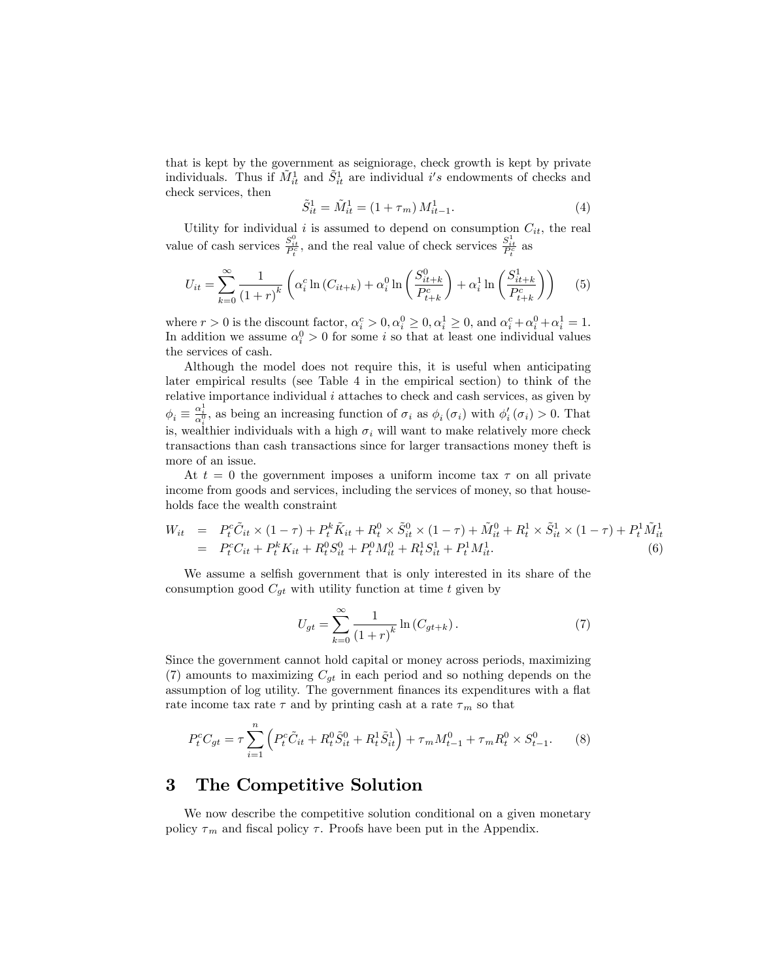that is kept by the government as seigniorage, check growth is kept by private individuals. Thus if  $\tilde{M}^1_{it}$  and  $\tilde{S}^1_{it}$  are individual i's endowments of checks and check services, then

$$
\tilde{S}_{it}^1 = \tilde{M}_{it}^1 = (1 + \tau_m) M_{it-1}^1.
$$
\n(4)

Utility for individual i is assumed to depend on consumption  $C_{it}$ , the real value of cash services  $\frac{S_{it}^0}{P_t^c}$ , and the real value of check services  $\frac{S_{it}^1}{P_t^c}$  as

$$
U_{it} = \sum_{k=0}^{\infty} \frac{1}{(1+r)^k} \left( \alpha_i^c \ln(C_{it+k}) + \alpha_i^0 \ln\left(\frac{S_{it+k}^0}{P_{t+k}^c}\right) + \alpha_i^1 \ln\left(\frac{S_{it+k}^1}{P_{t+k}^c}\right) \right)
$$
(5)

where  $r > 0$  is the discount factor,  $\alpha_i^c > 0, \alpha_i^0 \ge 0, \alpha_i^1 \ge 0$ , and  $\alpha_i^c + \alpha_i^0 + \alpha_i^1 = 1$ . In addition we assume  $\alpha_i^0 > 0$  for some *i* so that at least one individual values the services of cash.

Although the model does not require this, it is useful when anticipating later empirical results (see Table 4 in the empirical section) to think of the relative importance individual  $i$  attaches to check and cash services, as given by  $\phi_i \equiv \frac{\alpha_i^1}{\alpha_i^0}$ , as being an increasing function of  $\sigma_i$  as  $\phi_i(\sigma_i)$  with  $\phi'_i(\sigma_i) > 0$ . That is, wealthier individuals with a high  $\sigma_i$  will want to make relatively more check transactions than cash transactions since for larger transactions money theft is more of an issue.

At  $t = 0$  the government imposes a uniform income tax  $\tau$  on all private income from goods and services, including the services of money, so that households face the wealth constraint

$$
W_{it} = P_t^c \tilde{C}_{it} \times (1 - \tau) + P_t^k \tilde{K}_{it} + R_t^0 \times \tilde{S}_{it}^0 \times (1 - \tau) + \tilde{M}_{it}^0 + R_t^1 \times \tilde{S}_{it}^1 \times (1 - \tau) + P_t^1 \tilde{M}_{it}^1
$$
  
=  $P_t^c C_{it} + P_t^k K_{it} + R_t^0 S_{it}^0 + P_t^0 M_{it}^0 + R_t^1 S_{it}^1 + P_t^1 M_{it}^1.$  (6)

We assume a selfish government that is only interested in its share of the consumption good  $C_{gt}$  with utility function at time t given by

$$
U_{gt} = \sum_{k=0}^{\infty} \frac{1}{(1+r)^k} \ln (C_{gt+k}).
$$
 (7)

Since the government cannot hold capital or money across periods, maximizing (7) amounts to maximizing  $C_{gt}$  in each period and so nothing depends on the assumption of log utility. The government finances its expenditures with a flat rate income tax rate  $\tau$  and by printing cash at a rate  $\tau_m$  so that

$$
P_t^c C_{gt} = \tau \sum_{i=1}^n \left( P_t^c \tilde{C}_{it} + R_t^0 \tilde{S}_{it}^0 + R_t^1 \tilde{S}_{it}^1 \right) + \tau_m M_{t-1}^0 + \tau_m R_t^0 \times S_{t-1}^0.
$$
 (8)

## 3 The Competitive Solution

We now describe the competitive solution conditional on a given monetary policy  $\tau_m$  and fiscal policy  $\tau$ . Proofs have been put in the Appendix.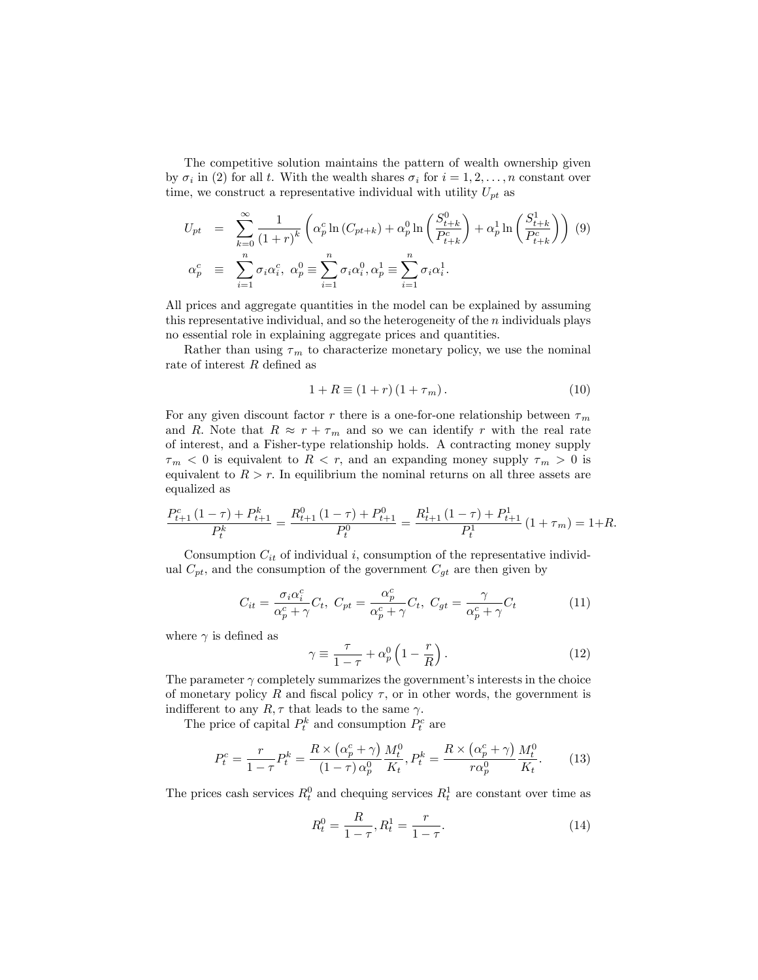The competitive solution maintains the pattern of wealth ownership given by  $\sigma_i$  in (2) for all t. With the wealth shares  $\sigma_i$  for  $i = 1, 2, \ldots, n$  constant over time, we construct a representative individual with utility  $U_{pt}$  as

$$
U_{pt} = \sum_{k=0}^{\infty} \frac{1}{(1+r)^k} \left( \alpha_p^c \ln \left( C_{pt+k} \right) + \alpha_p^0 \ln \left( \frac{S_{t+k}^0}{P_{t+k}^c} \right) + \alpha_p^1 \ln \left( \frac{S_{t+k}^1}{P_{t+k}^c} \right) \right)
$$
  

$$
\alpha_p^c \equiv \sum_{i=1}^n \sigma_i \alpha_i^c, \ \alpha_p^0 \equiv \sum_{i=1}^n \sigma_i \alpha_i^0, \alpha_p^1 \equiv \sum_{i=1}^n \sigma_i \alpha_i^1.
$$

All prices and aggregate quantities in the model can be explained by assuming this representative individual, and so the heterogeneity of the  $n$  individuals plays no essential role in explaining aggregate prices and quantities.

Rather than using  $\tau_m$  to characterize monetary policy, we use the nominal rate of interest  $R$  defined as

$$
1 + R \equiv (1 + r) (1 + \tau_m). \tag{10}
$$

For any given discount factor r there is a one-for-one relationship between  $\tau_m$ and R. Note that  $R \approx r + \tau_m$  and so we can identify r with the real rate of interest, and a Fisher-type relationship holds. A contracting money supply  $\tau_m < 0$  is equivalent to  $R < r$ , and an expanding money supply  $\tau_m > 0$  is equivalent to  $R > r$ . In equilibrium the nominal returns on all three assets are equalized as

$$
\frac{P_{t+1}^c(1-\tau) + P_{t+1}^k}{P_t^k} = \frac{R_{t+1}^0(1-\tau) + P_{t+1}^0}{P_t^0} = \frac{R_{t+1}^1(1-\tau) + P_{t+1}^1}{P_t^1} (1+\tau_m) = 1+R.
$$

Consumption  $C_{it}$  of individual i, consumption of the representative individual  $C_{pt}$ , and the consumption of the government  $C_{gt}$  are then given by

$$
C_{it} = \frac{\sigma_i \alpha_i^c}{\alpha_p^c + \gamma} C_t, \ C_{pt} = \frac{\alpha_p^c}{\alpha_p^c + \gamma} C_t, \ C_{gt} = \frac{\gamma}{\alpha_p^c + \gamma} C_t \tag{11}
$$

where  $\gamma$  is defined as

$$
\gamma \equiv \frac{\tau}{1-\tau} + \alpha_p^0 \left(1 - \frac{r}{R}\right). \tag{12}
$$

The parameter  $\gamma$  completely summarizes the government's interests in the choice of monetary policy R and fiscal policy  $\tau$ , or in other words, the government is indifferent to any  $R, \tau$  that leads to the same  $\gamma$ .

The price of capital  $P_t^k$  and consumption  $P_t^c$  are

$$
P_t^c = \frac{r}{1-\tau} P_t^k = \frac{R \times (\alpha_p^c + \gamma)}{(1-\tau)\alpha_p^0} \frac{M_t^0}{K_t}, P_t^k = \frac{R \times (\alpha_p^c + \gamma)}{r\alpha_p^0} \frac{M_t^0}{K_t}.
$$
 (13)

The prices cash services  $R_t^0$  and chequing services  $R_t^1$  are constant over time as

$$
R_t^0 = \frac{R}{1 - \tau}, R_t^1 = \frac{r}{1 - \tau}.
$$
\n(14)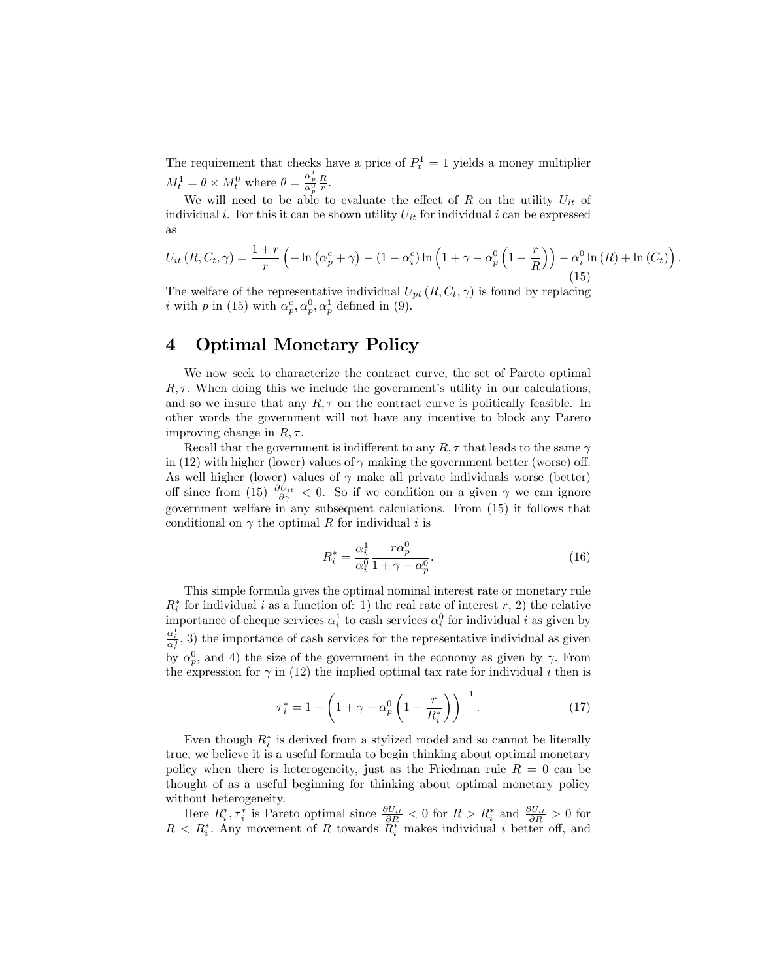The requirement that checks have a price of  $P_t^1 = 1$  yields a money multiplier  $M_t^1 = \theta \times M_t^0$  where  $\theta = \frac{\alpha_p^1}{\alpha_p^0} \frac{R}{r}$ .

We will need to be able to evaluate the effect of R on the utility  $U_{it}$  of individual i. For this it can be shown utility  $U_{it}$  for individual i can be expressed as

$$
U_{it}(R, C_t, \gamma) = \frac{1+r}{r} \left( -\ln\left(\alpha_p^c + \gamma\right) - (1 - \alpha_i^c)\ln\left(1 + \gamma - \alpha_p^0\left(1 - \frac{r}{R}\right)\right) - \alpha_i^0 \ln\left(R\right) + \ln\left(C_t\right) \right) \tag{15}
$$

:

The welfare of the representative individual  $U_{pt}(R, C_t, \gamma)$  is found by replacing *i* with *p* in (15) with  $\alpha_p^c, \alpha_p^0, \alpha_p^1$  defined in (9).

# 4 Optimal Monetary Policy

We now seek to characterize the contract curve, the set of Pareto optimal  $R, \tau$ . When doing this we include the government's utility in our calculations, and so we insure that any  $R, \tau$  on the contract curve is politically feasible. In other words the government will not have any incentive to block any Pareto improving change in  $R, \tau$ .

Recall that the government is indifferent to any  $R, \tau$  that leads to the same  $\gamma$ in (12) with higher (lower) values of  $\gamma$  making the government better (worse) off. As well higher (lower) values of  $\gamma$  make all private individuals worse (better) off since from (15)  $\frac{\partial U_{it}}{\partial \gamma} < 0$ . So if we condition on a given  $\gamma$  we can ignore government welfare in any subsequent calculations. From (15) it follows that conditional on  $\gamma$  the optimal R for individual i is

$$
R_i^* = \frac{\alpha_i^1}{\alpha_i^0} \frac{r\alpha_p^0}{1+\gamma-\alpha_p^0}.\tag{16}
$$

This simple formula gives the optimal nominal interest rate or monetary rule  $R_i^*$  for individual i as a function of: 1) the real rate of interest r, 2) the relative importance of cheque services  $\alpha_i^1$  to cash services  $\alpha_i^0$  for individual i as given by  $\frac{\alpha_i^1}{\alpha_i^0}$ , 3) the importance of cash services for the representative individual as given by  $\alpha_p^0$ , and 4) the size of the government in the economy as given by  $\gamma$ . From the expression for  $\gamma$  in (12) the implied optimal tax rate for individual i then is

$$
\tau_i^* = 1 - \left(1 + \gamma - \alpha_p^0 \left(1 - \frac{r}{R_i^*}\right)\right)^{-1}.\tag{17}
$$

Even though  $R_i^*$  is derived from a stylized model and so cannot be literally true, we believe it is a useful formula to begin thinking about optimal monetary policy when there is heterogeneity, just as the Friedman rule  $R = 0$  can be thought of as a useful beginning for thinking about optimal monetary policy without heterogeneity.

Here  $R_i^*, \tau_i^*$  is Pareto optimal since  $\frac{\partial U_{it}}{\partial R} < 0$  for  $R > R_i^*$  and  $\frac{\partial U_{it}}{\partial R} > 0$  for  $R < R_i^*$ . Any movement of R towards  $R_i^*$  makes individual i better off, and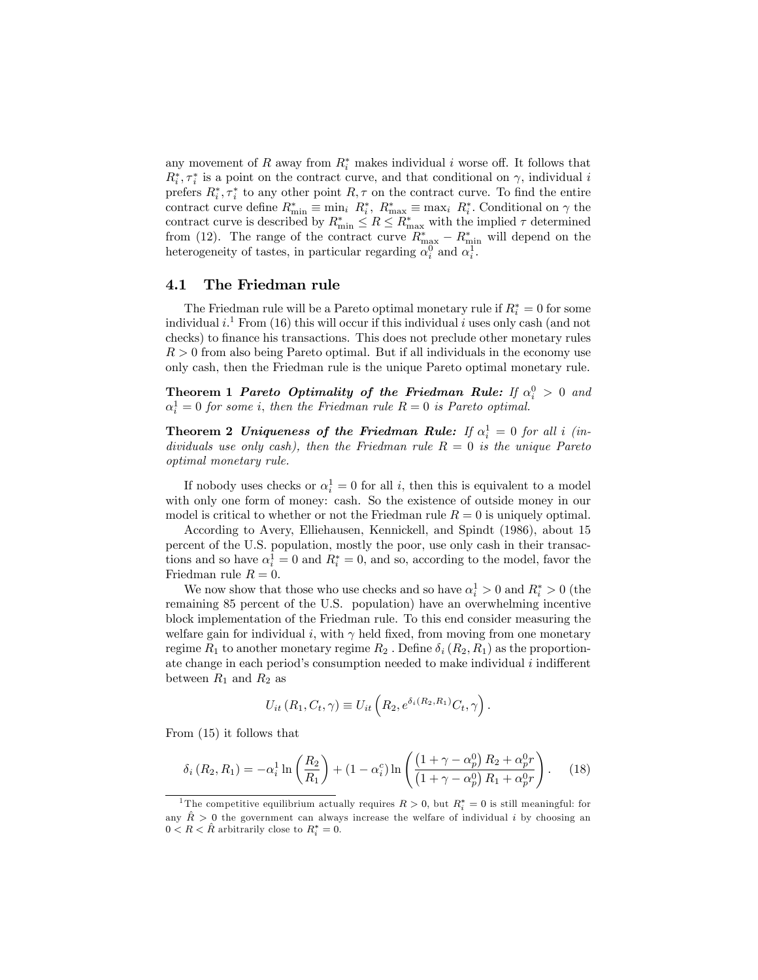any movement of R away from  $R_i^*$  makes individual i worse off. It follows that  $R_i^*, \tau_i^*$  is a point on the contract curve, and that conditional on  $\gamma$ , individual i prefers  $R_i^*, \tau_i^*$  to any other point  $R, \tau$  on the contract curve. To find the entire contract curve define  $R_{\min}^* \equiv \min_i R_i^*$ ,  $R_{\max}^* \equiv \max_i R_i^*$ . Conditional on  $\gamma$  the contract curve is described by  $R_{\min}^* \leq R \leq R_{\max}^*$  with the implied  $\tau$  determined from (12). The range of the contract curve  $R_{\text{max}}^* - R_{\text{min}}^*$  will depend on the heterogeneity of tastes, in particular regarding  $\alpha_i^0$  and  $\alpha_i^1$ .

#### 4.1 The Friedman rule

The Friedman rule will be a Pareto optimal monetary rule if  $R_i^* = 0$  for some individual  $i$ <sup>1</sup>. From (16) this will occur if this individual i uses only cash (and not checks) to finance his transactions. This does not preclude other monetary rules  $R > 0$  from also being Pareto optimal. But if all individuals in the economy use only cash, then the Friedman rule is the unique Pareto optimal monetary rule.

**Theorem 1 Pareto Optimality of the Friedman Rule:** If  $\alpha_i^0 > 0$  and  $\alpha_i^1 = 0$  for some i, then the Friedman rule  $R = 0$  is Pareto optimal.

**Theorem 2 Uniqueness of the Friedman Rule:** If  $\alpha_i^1 = 0$  for all i (individuals use only cash), then the Friedman rule  $R = 0$  is the unique Pareto optimal monetary rule.

If nobody uses checks or  $\alpha_i^1 = 0$  for all *i*, then this is equivalent to a model with only one form of money: cash. So the existence of outside money in our model is critical to whether or not the Friedman rule  $R = 0$  is uniquely optimal.

According to Avery, Elliehausen, Kennickell, and Spindt (1986), about 15 percent of the U.S. population, mostly the poor, use only cash in their transactions and so have  $\alpha_i^1 = 0$  and  $R_i^* = 0$ , and so, according to the model, favor the Friedman rule  $R = 0$ .

We now show that those who use checks and so have  $\alpha_i^1 > 0$  and  $R_i^* > 0$  (the remaining 85 percent of the U.S. population) have an overwhelming incentive block implementation of the Friedman rule. To this end consider measuring the welfare gain for individual i, with  $\gamma$  held fixed, from moving from one monetary regime  $R_1$  to another monetary regime  $R_2$ . Define  $\delta_i (R_2, R_1)$  as the proportionate change in each period's consumption needed to make individual  $i$  indifferent between  $R_1$  and  $R_2$  as

$$
U_{it} (R_1, C_t, \gamma) \equiv U_{it} \left( R_2, e^{\delta_i (R_2, R_1)} C_t, \gamma \right).
$$

From (15) it follows that

$$
\delta_i(R_2, R_1) = -\alpha_i^1 \ln\left(\frac{R_2}{R_1}\right) + (1 - \alpha_i^c) \ln\left(\frac{\left(1 + \gamma - \alpha_p^0\right)R_2 + \alpha_p^0 r}{\left(1 + \gamma - \alpha_p^0\right)R_1 + \alpha_p^0 r}\right). \tag{18}
$$

<sup>&</sup>lt;sup>1</sup>The competitive equilibrium actually requires  $R > 0$ , but  $R_i^* = 0$  is still meaningful: for any  $\hat{R} > 0$  the government can always increase the welfare of individual i by choosing an  $0 < R < \hat{R}$  arbitrarily close to  $R_i^* = 0$ .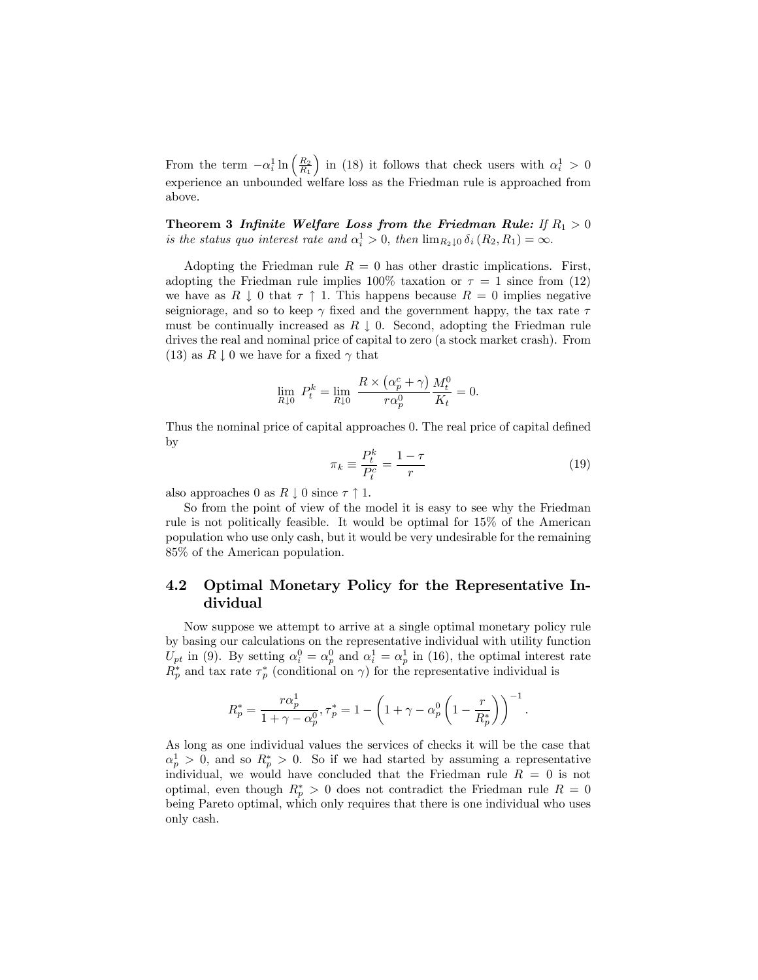From the term  $-\alpha_i^1 \ln \left(\frac{R_2}{R_1}\right)$ ) in (18) it follows that check users with  $\alpha_i^1 > 0$ experience an unbounded welfare loss as the Friedman rule is approached from above.

Theorem 3 Infinite Welfare Loss from the Friedman Rule: If  $R_1 > 0$ is the status quo interest rate and  $\alpha_i^1 > 0$ , then  $\lim_{R_2 \downarrow 0} \delta_i (R_2, R_1) = \infty$ .

Adopting the Friedman rule  $R = 0$  has other drastic implications. First, adopting the Friedman rule implies  $100\%$  taxation or  $\tau = 1$  since from (12) we have as  $R \downarrow 0$  that  $\tau \uparrow 1$ . This happens because  $R = 0$  implies negative seigniorage, and so to keep  $\gamma$  fixed and the government happy, the tax rate  $\tau$ must be continually increased as  $R \downarrow 0$ . Second, adopting the Friedman rule drives the real and nominal price of capital to zero (a stock market crash). From (13) as  $R \downarrow 0$  we have for a fixed  $\gamma$  that

$$
\lim_{R \downarrow 0} P_t^k = \lim_{R \downarrow 0} \frac{R \times (\alpha_p^c + \gamma)}{r \alpha_p^0} \frac{M_t^0}{K_t} = 0.
$$

Thus the nominal price of capital approaches 0. The real price of capital defined by

$$
\pi_k \equiv \frac{P_t^k}{P_t^c} = \frac{1 - \tau}{r} \tag{19}
$$

:

also approaches 0 as  $R \downarrow 0$  since  $\tau \uparrow 1$ .

So from the point of view of the model it is easy to see why the Friedman rule is not politically feasible. It would be optimal for 15% of the American population who use only cash, but it would be very undesirable for the remaining 85% of the American population.

### 4.2 Optimal Monetary Policy for the Representative Individual

Now suppose we attempt to arrive at a single optimal monetary policy rule by basing our calculations on the representative individual with utility function  $U_{pt}$  in (9). By setting  $\alpha_i^0 = \alpha_p^0$  and  $\alpha_i^1 = \alpha_p^1$  in (16), the optimal interest rate  $R_p^*$  and tax rate  $\tau_p^*$  (conditional on  $\gamma$ ) for the representative individual is

$$
R_p^* = \frac{r\alpha_p^1}{1+\gamma-\alpha_p^0}, \tau_p^* = 1 - \left(1+\gamma-\alpha_p^0\left(1-\frac{r}{R_p^*}\right)\right)^{-1}
$$

As long as one individual values the services of checks it will be the case that  $\alpha_p^1 > 0$ , and so  $R_p^* > 0$ . So if we had started by assuming a representative individual, we would have concluded that the Friedman rule  $R = 0$  is not optimal, even though  $R_p^* > 0$  does not contradict the Friedman rule  $R = 0$ being Pareto optimal, which only requires that there is one individual who uses only cash.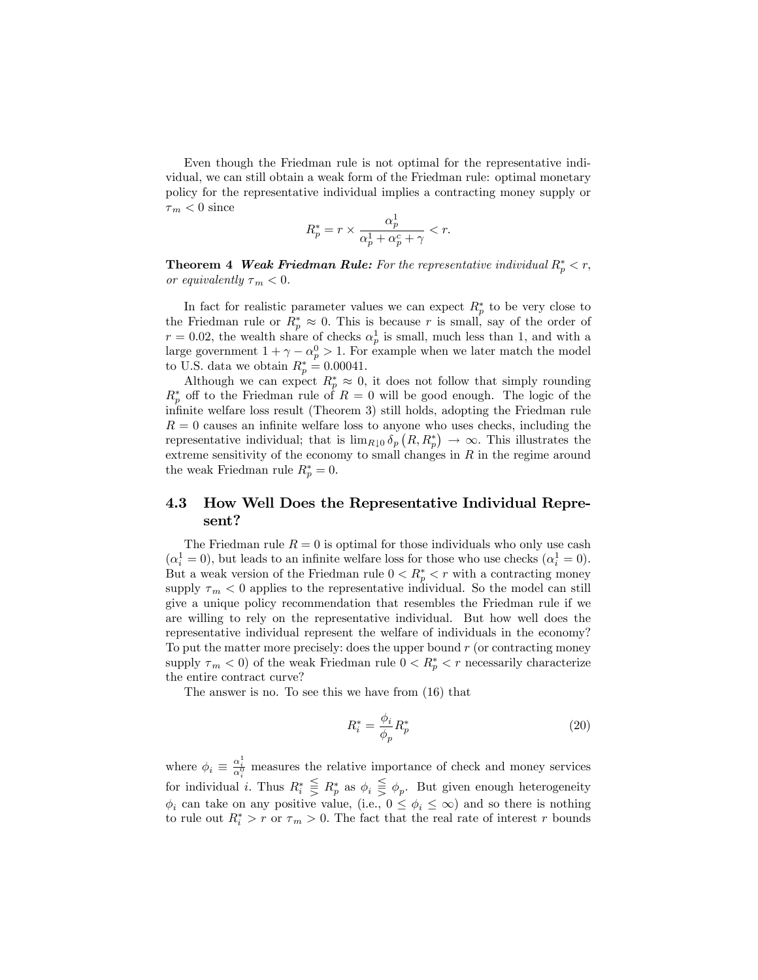Even though the Friedman rule is not optimal for the representative individual, we can still obtain a weak form of the Friedman rule: optimal monetary policy for the representative individual implies a contracting money supply or  $\tau_m < 0$  since

$$
R_p^* = r \times \frac{\alpha_p^1}{\alpha_p^1 + \alpha_p^c + \gamma} < r.
$$

**Theorem 4 Weak Friedman Rule:** For the representative individual  $R_p^* < r$ , or equivalently  $\tau_m < 0$ .

In fact for realistic parameter values we can expect  $R_p^*$  to be very close to the Friedman rule or  $R_p^* \approx 0$ . This is because r is small, say of the order of  $r = 0.02$ , the wealth share of checks  $\alpha_p^1$  is small, much less than 1, and with a large government  $1 + \gamma - \alpha_p^0 > 1$ . For example when we later match the model to U.S. data we obtain  $R_p^* = 0.00041$ .

Although we can expect  $R_p^* \approx 0$ , it does not follow that simply rounding  $R_p^*$  off to the Friedman rule of  $R=0$  will be good enough. The logic of the infinite welfare loss result (Theorem 3) still holds, adopting the Friedman rule  $R = 0$  causes an infinite welfare loss to anyone who uses checks, including the representative individual; that is  $\lim_{R\downarrow 0} \delta_p(R, R_p^*) \to \infty$ . This illustrates the extreme sensitivity of the economy to small changes in  $R$  in the regime around the weak Friedman rule  $R_p^* = 0$ .

### 4.3 How Well Does the Representative Individual Represent?

The Friedman rule  $R = 0$  is optimal for those individuals who only use cash  $(\alpha_i^1 = 0)$ , but leads to an infinite welfare loss for those who use checks  $(\alpha_i^1 = 0)$ . But a weak version of the Friedman rule  $0 < R_p^* < r$  with a contracting money supply  $\tau_m < 0$  applies to the representative individual. So the model can still give a unique policy recommendation that resembles the Friedman rule if we are willing to rely on the representative individual. But how well does the representative individual represent the welfare of individuals in the economy? To put the matter more precisely: does the upper bound r (or contracting money supply  $\tau_m < 0$ ) of the weak Friedman rule  $0 < R_p^* < r$  necessarily characterize the entire contract curve?

The answer is no. To see this we have from (16) that

$$
R_i^* = \frac{\phi_i}{\phi_p} R_p^* \tag{20}
$$

where  $\phi_i \equiv \frac{\alpha_i^1}{\alpha_i^0}$  measures the relative importance of check and money services for individual *i*. Thus  $R_i^* \geq R_p^*$  as  $\phi_i \geq \phi_p$ . But given enough heterogeneity  $\phi_i$  can take on any positive value, (i.e.,  $0 \le \phi_i \le \infty$ ) and so there is nothing to rule out  $R_i^* > r$  or  $\tau_m > 0$ . The fact that the real rate of interest r bounds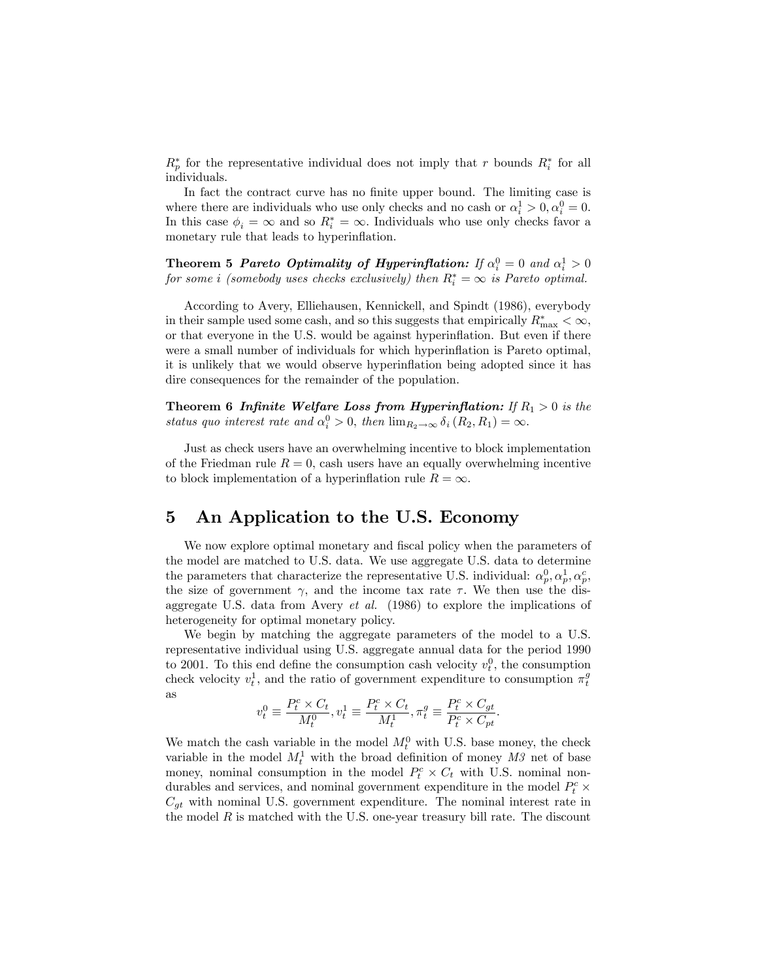$R_p^*$  for the representative individual does not imply that r bounds  $R_i^*$  for all individuals.

In fact the contract curve has no finite upper bound. The limiting case is where there are individuals who use only checks and no cash or  $\alpha_i^1 > 0, \alpha_i^0 = 0$ . In this case  $\phi_i = \infty$  and so  $R_i^* = \infty$ . Individuals who use only checks favor a monetary rule that leads to hyperinflation.

Theorem 5 Pareto Optimality of Hyperinflation: If  $\alpha_i^0 = 0$  and  $\alpha_i^1 > 0$ for some i (somebody uses checks exclusively) then  $R_i^* = \infty$  is Pareto optimal.

According to Avery, Elliehausen, Kennickell, and Spindt (1986), everybody in their sample used some cash, and so this suggests that empirically  $R_{\text{max}}^* < \infty$ , or that everyone in the U.S. would be against hyperináation. But even if there were a small number of individuals for which hyperinflation is Pareto optimal, it is unlikely that we would observe hyperináation being adopted since it has dire consequences for the remainder of the population.

**Theorem 6 Infinite Welfare Loss from Hyperinflation:** If  $R_1 > 0$  is the status quo interest rate and  $\alpha_i^0 > 0$ , then  $\lim_{R_2 \to \infty} \delta_i (R_2, R_1) = \infty$ .

Just as check users have an overwhelming incentive to block implementation of the Friedman rule  $R = 0$ , cash users have an equally overwhelming incentive to block implementation of a hyperinflation rule  $R = \infty$ .

## 5 An Application to the U.S. Economy

We now explore optimal monetary and fiscal policy when the parameters of the model are matched to U.S. data. We use aggregate U.S. data to determine the parameters that characterize the representative U.S. individual:  $\alpha_p^0, \alpha_p^1, \alpha_p^c$ , the size of government  $\gamma$ , and the income tax rate  $\tau$ . We then use the disaggregate U.S. data from Avery *et al.* (1986) to explore the implications of heterogeneity for optimal monetary policy.

We begin by matching the aggregate parameters of the model to a U.S. representative individual using U.S. aggregate annual data for the period 1990 to 2001. To this end define the consumption cash velocity  $v_t^0$ , the consumption check velocity  $v_t^1$ , and the ratio of government expenditure to consumption  $\pi_t^g$ as

$$
v^0_t \equiv \frac{P^c_t \times C_t}{M^0_t}, v^1_t \equiv \frac{P^c_t \times C_t}{M^1_t}, \pi^g_t \equiv \frac{P^c_t \times C_{gt}}{P^c_t \times C_{pt}}.
$$

We match the cash variable in the model  $M_t^0$  with U.S. base money, the check variable in the model  $M_t^1$  with the broad definition of money  $M_3$  net of base money, nominal consumption in the model  $P_t^c \times C_t$  with U.S. nominal nondurables and services, and nominal government expenditure in the model  $P_t^c \times$  $C_{qt}$  with nominal U.S. government expenditure. The nominal interest rate in the model  $R$  is matched with the U.S. one-year treasury bill rate. The discount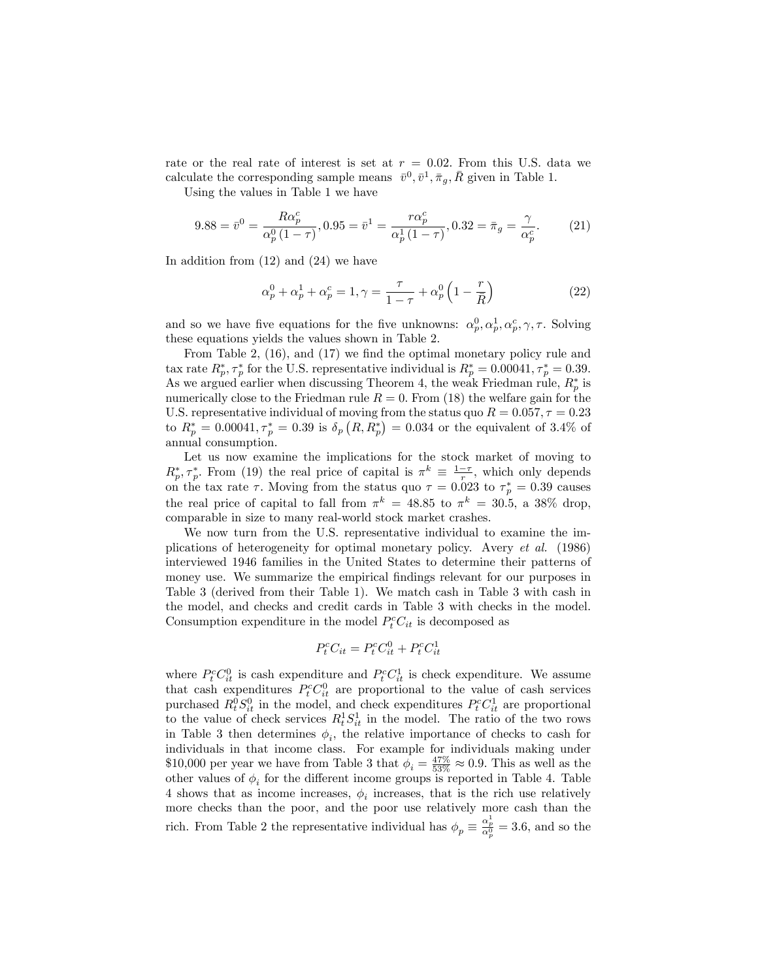rate or the real rate of interest is set at  $r = 0.02$ . From this U.S. data we calculate the corresponding sample means  $\bar{v}^0, \bar{v}^1, \bar{\pi}_g, \bar{R}$  given in Table 1.

Using the values in Table 1 we have

$$
9.88 = \bar{v}^0 = \frac{R\alpha_p^c}{\alpha_p^0 (1 - \tau)}, 0.95 = \bar{v}^1 = \frac{r\alpha_p^c}{\alpha_p^1 (1 - \tau)}, 0.32 = \bar{\pi}_g = \frac{\gamma}{\alpha_p^c}.
$$
 (21)

In addition from  $(12)$  and  $(24)$  we have

$$
\alpha_p^0 + \alpha_p^1 + \alpha_p^c = 1, \gamma = \frac{\tau}{1 - \tau} + \alpha_p^0 \left( 1 - \frac{r}{\bar{R}} \right) \tag{22}
$$

and so we have five equations for the five unknowns:  $\alpha_p^0, \alpha_p^1, \alpha_p^c, \gamma, \tau$ . Solving these equations yields the values shown in Table 2.

From Table 2,  $(16)$ , and  $(17)$  we find the optimal monetary policy rule and tax rate  $R_p^*, \tau_p^*$  for the U.S. representative individual is  $R_p^* = 0.00041, \tau_p^* = 0.39$ . As we argued earlier when discussing Theorem 4, the weak Friedman rule,  $R_p^*$  is numerically close to the Friedman rule  $R = 0$ . From (18) the welfare gain for the U.S. representative individual of moving from the status quo  $R = 0.057, \tau = 0.23$ to  $R_p^* = 0.00041, \tau_p^* = 0.39$  is  $\delta_p (R, R_p^*) = 0.034$  or the equivalent of 3.4% of annual consumption.

Let us now examine the implications for the stock market of moving to  $R_p^*, \tau_p^*$ . From (19) the real price of capital is  $\pi^k \equiv \frac{1-\tau}{r}$ , which only depends on the tax rate  $\tau$ . Moving from the status quo  $\tau = 0.023$  to  $\tau_p^* = 0.39$  causes the real price of capital to fall from  $\pi^k = 48.85$  to  $\pi^k = 30.5$ , a  $38\%$  drop, comparable in size to many real-world stock market crashes.

We now turn from the U.S. representative individual to examine the implications of heterogeneity for optimal monetary policy. Avery et al. (1986) interviewed 1946 families in the United States to determine their patterns of money use. We summarize the empirical findings relevant for our purposes in Table 3 (derived from their Table 1). We match cash in Table 3 with cash in the model, and checks and credit cards in Table 3 with checks in the model. Consumption expenditure in the model  $P_t^c C_{it}$  is decomposed as

$$
P_t^c C_{it} = P_t^c C_{it}^0 + P_t^c C_{it}^1
$$

where  $P_t^c C_{it}^0$  is cash expenditure and  $P_t^c C_{it}^1$  is check expenditure. We assume that cash expenditures  $P_t^c C_{it}^0$  are proportional to the value of cash services purchased  $R_t^0 S_{it}^0$  in the model, and check expenditures  $P_t^c C_{it}^1$  are proportional to the value of check services  $R_t^1 S_{it}^1$  in the model. The ratio of the two rows in Table 3 then determines  $\phi_i$ , the relative importance of checks to cash for individuals in that income class. For example for individuals making under \$10,000 per year we have from Table 3 that  $\phi_i = \frac{47\%}{53\%} \approx 0.9$ . This as well as the other values of  $\phi_i$  for the different income groups is reported in Table 4. Table 4 shows that as income increases,  $\phi_i$  increases, that is the rich use relatively more checks than the poor, and the poor use relatively more cash than the rich. From Table 2 the representative individual has  $\phi_p \equiv \frac{\alpha_p^1}{\alpha_p^0} = 3.6$ , and so the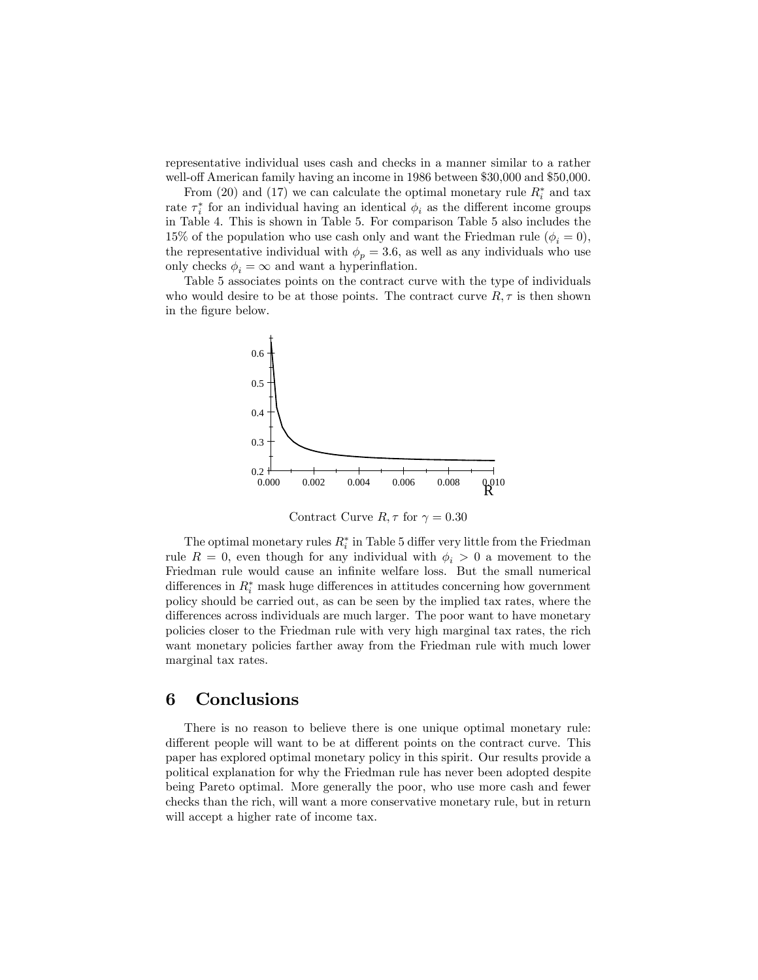representative individual uses cash and checks in a manner similar to a rather well-off American family having an income in 1986 between \$30,000 and \$50,000.

From (20) and (17) we can calculate the optimal monetary rule  $R_i^*$  and tax rate  $\tau_i^*$  for an individual having an identical  $\phi_i$  as the different income groups in Table 4. This is shown in Table 5. For comparison Table 5 also includes the 15% of the population who use cash only and want the Friedman rule  $(\phi_i = 0)$ , the representative individual with  $\phi_p = 3.6$ , as well as any individuals who use only checks  $\phi_i = \infty$  and want a hyperinflation.

Table 5 associates points on the contract curve with the type of individuals who would desire to be at those points. The contract curve  $R, \tau$  is then shown in the figure below.



Contract Curve  $R, \tau$  for  $\gamma = 0.30$ 

The optimal monetary rules  $R_i^*$  in Table 5 differ very little from the Friedman rule  $R = 0$ , even though for any individual with  $\phi_i > 0$  a movement to the Friedman rule would cause an infinite welfare loss. But the small numerical differences in  $R_i^*$  mask huge differences in attitudes concerning how government policy should be carried out, as can be seen by the implied tax rates, where the differences across individuals are much larger. The poor want to have monetary policies closer to the Friedman rule with very high marginal tax rates, the rich want monetary policies farther away from the Friedman rule with much lower marginal tax rates.

### 6 Conclusions

There is no reason to believe there is one unique optimal monetary rule: different people will want to be at different points on the contract curve. This paper has explored optimal monetary policy in this spirit. Our results provide a political explanation for why the Friedman rule has never been adopted despite being Pareto optimal. More generally the poor, who use more cash and fewer checks than the rich, will want a more conservative monetary rule, but in return will accept a higher rate of income tax.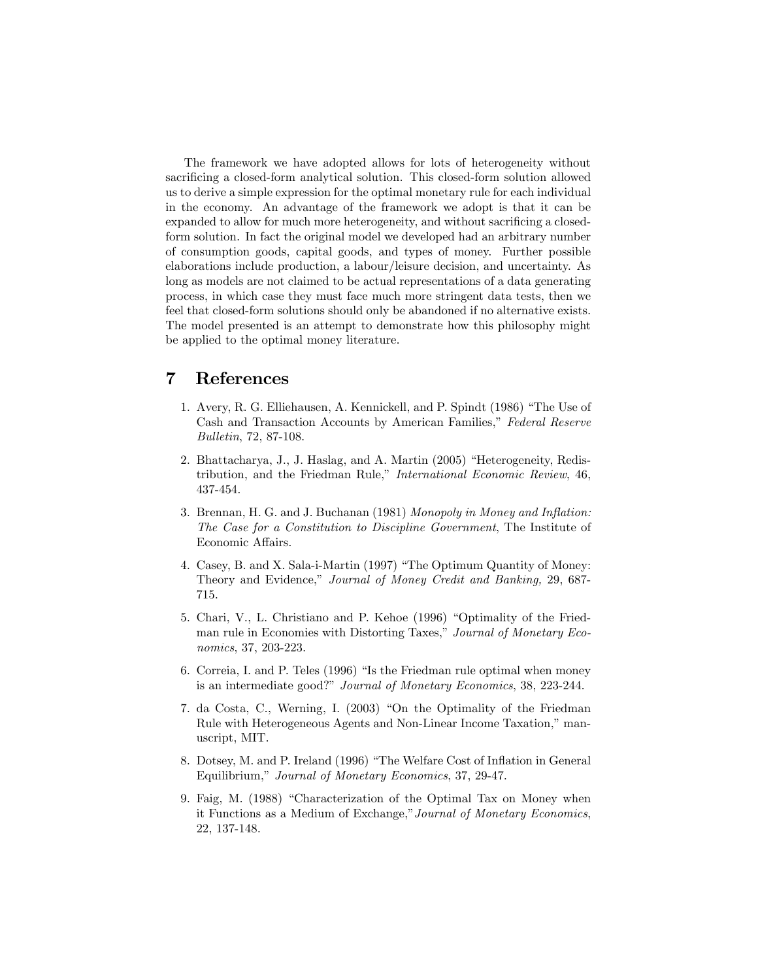The framework we have adopted allows for lots of heterogeneity without sacrificing a closed-form analytical solution. This closed-form solution allowed us to derive a simple expression for the optimal monetary rule for each individual in the economy. An advantage of the framework we adopt is that it can be expanded to allow for much more heterogeneity, and without sacrificing a closedform solution. In fact the original model we developed had an arbitrary number of consumption goods, capital goods, and types of money. Further possible elaborations include production, a labour/leisure decision, and uncertainty. As long as models are not claimed to be actual representations of a data generating process, in which case they must face much more stringent data tests, then we feel that closed-form solutions should only be abandoned if no alternative exists. The model presented is an attempt to demonstrate how this philosophy might be applied to the optimal money literature.

## 7 References

- 1. Avery, R. G. Elliehausen, A. Kennickell, and P. Spindt (1986) "The Use of Cash and Transaction Accounts by American Families," Federal Reserve Bulletin, 72, 87-108.
- 2. Bhattacharya, J., J. Haslag, and A. Martin (2005) "Heterogeneity, Redistribution, and the Friedman Rule," International Economic Review, 46, 437-454.
- 3. Brennan, H. G. and J. Buchanan (1981) Monopoly in Money and Inflation: The Case for a Constitution to Discipline Government, The Institute of Economic Affairs.
- 4. Casey, B. and X. Sala-i-Martin (1997) "The Optimum Quantity of Money: Theory and Evidence," Journal of Money Credit and Banking, 29, 687-715.
- 5. Chari, V., L. Christiano and P. Kehoe (1996) "Optimality of the Friedman rule in Economies with Distorting Taxes," Journal of Monetary Economics, 37, 203-223.
- 6. Correia, I. and P. Teles  $(1996)$  "Is the Friedman rule optimal when money is an intermediate good?" Journal of Monetary Economics, 38, 223-244.
- 7. da Costa, C., Werning, I. (2003) "On the Optimality of the Friedman Rule with Heterogeneous Agents and Non-Linear Income Taxation," manuscript, MIT.
- 8. Dotsey, M. and P. Ireland (1996) "The Welfare Cost of Inflation in General Equilibrium," Journal of Monetary Economics, 37, 29-47.
- 9. Faig, M. (1988) "Characterization of the Optimal Tax on Money when it Functions as a Medium of Exchange," Journal of Monetary Economics, 22, 137-148.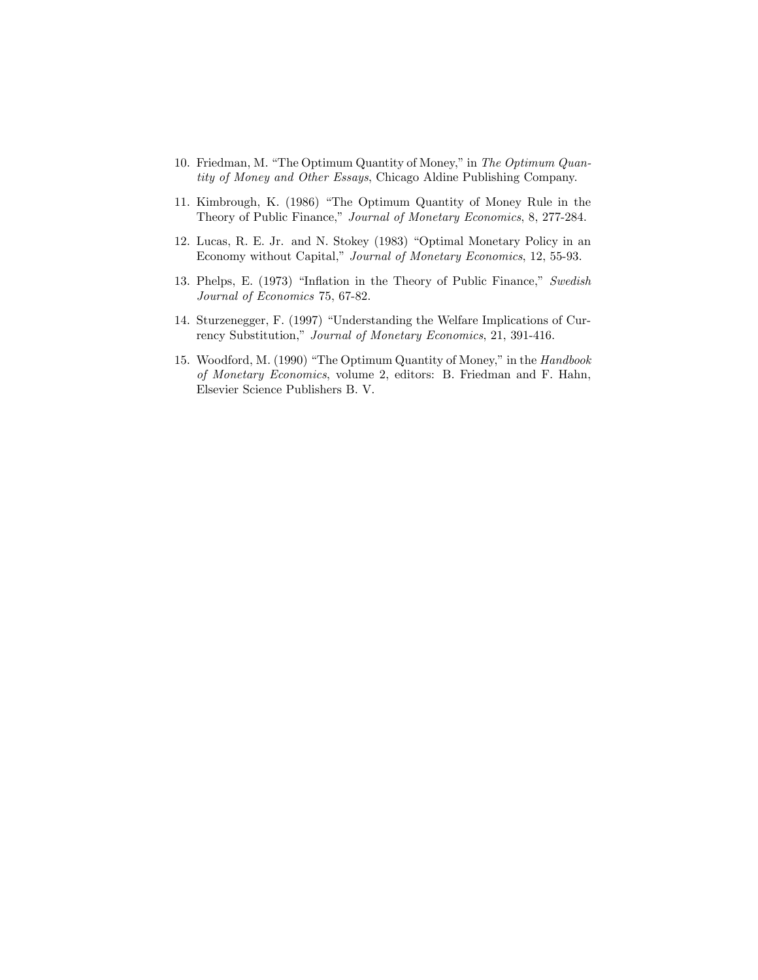- 10. Friedman, M. "The Optimum Quantity of Money," in The Optimum Quantity of Money and Other Essays, Chicago Aldine Publishing Company.
- 11. Kimbrough, K. (1986) "The Optimum Quantity of Money Rule in the Theory of Public Finance," Journal of Monetary Economics, 8, 277-284.
- 12. Lucas, R. E. Jr. and N. Stokey (1983) "Optimal Monetary Policy in an Economy without Capital," Journal of Monetary Economics, 12, 55-93.
- 13. Phelps, E. (1973) "Inflation in the Theory of Public Finance," Swedish Journal of Economics 75, 67-82.
- 14. Sturzenegger, F. (1997) "Understanding the Welfare Implications of Currency Substitution," Journal of Monetary Economics, 21, 391-416.
- 15. Woodford, M. (1990) "The Optimum Quantity of Money," in the Handbook of Monetary Economics, volume 2, editors: B. Friedman and F. Hahn, Elsevier Science Publishers B. V.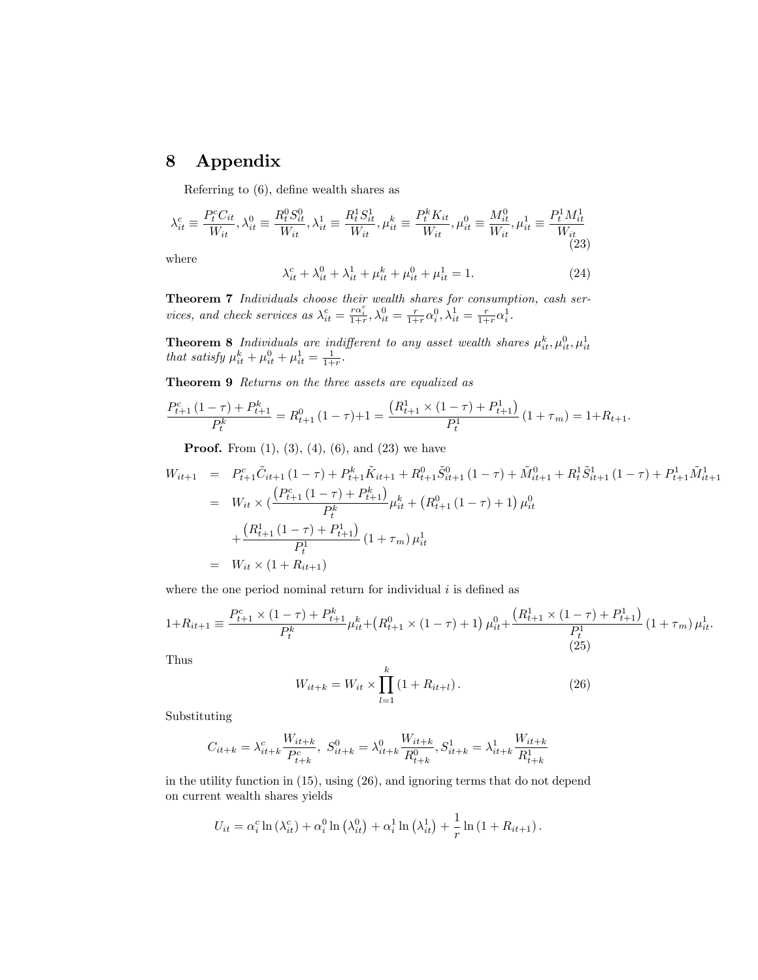# 8 Appendix

Referring to  $(6)$ , define wealth shares as

$$
\lambda_{it}^c \equiv \frac{P_t^c C_{it}}{W_{it}}, \lambda_{it}^0 \equiv \frac{R_t^0 S_{it}^0}{W_{it}}, \lambda_{it}^1 \equiv \frac{R_t^1 S_{it}^1}{W_{it}}, \mu_{it}^k \equiv \frac{P_t^k K_{it}}{W_{it}}, \mu_{it}^0 \equiv \frac{M_{it}^0}{W_{it}}, \mu_{it}^1 \equiv \frac{P_t^1 M_{it}^1}{W_{it}}
$$
(23)

where

$$
\lambda_{it}^c + \lambda_{it}^0 + \lambda_{it}^1 + \mu_{it}^k + \mu_{it}^0 + \mu_{it}^1 = 1.
$$
 (24)

Theorem 7 Individuals choose their wealth shares for consumption, cash services, and check services as  $\lambda_{it}^c = \frac{r\alpha_i^c}{1+r}, \lambda_{it}^0 = \frac{r}{1+r}\alpha_i^0, \lambda_{it}^1 = \frac{r}{1+r}\alpha_i^1$ .

**Theorem 8** Individuals are indifferent to any asset wealth shares  $\mu_{it}^k, \mu_{it}^0, \mu_{it}^1$ <br>that satisfy  $\mu_{it}^k + \mu_{it}^0 + \mu_{it}^1 = \frac{1}{1+r}$ .

Theorem 9 Returns on the three assets are equalized as

$$
\frac{P_{t+1}^c(1-\tau) + P_{t+1}^k}{P_t^k} = R_{t+1}^0(1-\tau) + 1 = \frac{(R_{t+1}^1 \times (1-\tau) + P_{t+1}^1)}{P_t^1} (1+\tau_m) = 1 + R_{t+1}.
$$

**Proof.** From  $(1)$ ,  $(3)$ ,  $(4)$ ,  $(6)$ , and  $(23)$  we have

$$
W_{it+1} = P_{t+1}^c \tilde{C}_{it+1} (1 - \tau) + P_{t+1}^k \tilde{K}_{it+1} + R_{t+1}^0 \tilde{S}_{it+1}^0 (1 - \tau) + \tilde{M}_{it+1}^0 + R_t^1 \tilde{S}_{it+1}^1 (1 - \tau) + P_{t+1}^1 \tilde{M}_{it+1}^1
$$
  
\n
$$
= W_{it} \times \left( \frac{P_{t+1}^c (1 - \tau) + P_{t+1}^k}{P_t^k} \right) \mu_{it}^k + \left( R_{t+1}^0 (1 - \tau) + 1 \right) \mu_{it}^0
$$
  
\n
$$
+ \frac{\left( R_{t+1}^1 (1 - \tau) + P_{t+1}^1 \right)}{P_t^1} (1 + \tau_m) \mu_{it}^1
$$
  
\n
$$
= W_{it} \times (1 + R_{it+1})
$$

where the one period nominal return for individual  $i$  is defined as

$$
1 + R_{it+1} \equiv \frac{P_{t+1}^c \times (1 - \tau) + P_{t+1}^k}{P_t^k} \mu_{it}^k + (R_{t+1}^0 \times (1 - \tau) + 1) \mu_{it}^0 + \frac{(R_{t+1}^1 \times (1 - \tau) + P_{t+1}^1)}{P_t^1} (1 + \tau_m) \mu_{it}^1.
$$
\n(25)

Thus

$$
W_{it+k} = W_{it} \times \prod_{l=1}^{k} (1 + R_{it+l}).
$$
\n(26)

Substituting

$$
C_{it+k} = \lambda_{it+k}^c \frac{W_{it+k}}{P_{t+k}^c}, \ S_{it+k}^0 = \lambda_{it+k}^0 \frac{W_{it+k}}{R_{t+k}^0}, S_{it+k}^1 = \lambda_{it+k}^1 \frac{W_{it+k}}{R_{t+k}^1}
$$

in the utility function in (15), using (26), and ignoring terms that do not depend on current wealth shares yields

$$
U_{it} = \alpha_i^c \ln(\lambda_{it}^c) + \alpha_i^0 \ln(\lambda_{it}^0) + \alpha_i^1 \ln(\lambda_{it}^1) + \frac{1}{r} \ln(1 + R_{it+1}).
$$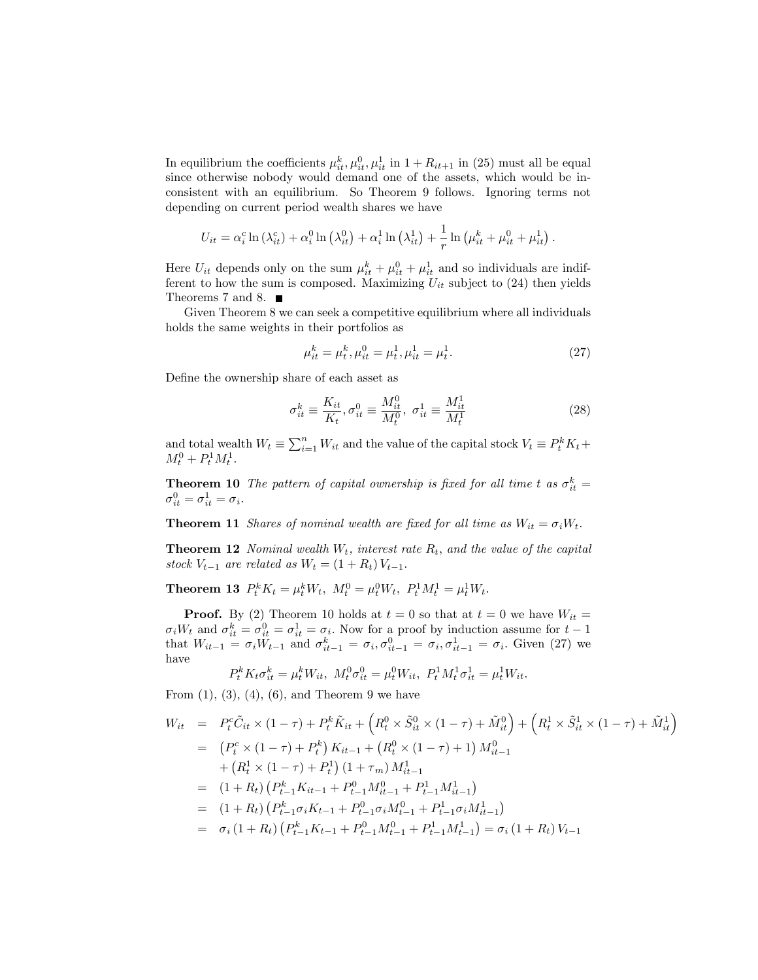In equilibrium the coefficients  $\mu_{it}^k, \mu_{it}^0, \mu_{it}^1$  in  $1 + R_{it+1}$  in (25) must all be equal since otherwise nobody would demand one of the assets, which would be inconsistent with an equilibrium. So Theorem 9 follows. Ignoring terms not depending on current period wealth shares we have

$$
U_{it} = \alpha_i^c \ln(\lambda_{it}^c) + \alpha_i^0 \ln(\lambda_{it}^0) + \alpha_i^1 \ln(\lambda_{it}^1) + \frac{1}{r} \ln(\mu_{it}^k + \mu_{it}^0 + \mu_{it}^1).
$$

Here  $U_{it}$  depends only on the sum  $\mu_{it}^k + \mu_{it}^0 + \mu_{it}^1$  and so individuals are indifferent to how the sum is composed. Maximizing  $U_{it}$  subject to (24) then yields Theorems 7 and 8.

Given Theorem 8 we can seek a competitive equilibrium where all individuals holds the same weights in their portfolios as

$$
\mu_{it}^k = \mu_t^k, \mu_{it}^0 = \mu_t^1, \mu_{it}^1 = \mu_t^1.
$$
\n(27)

Define the ownership share of each asset as

$$
\sigma_{it}^{k} \equiv \frac{K_{it}}{K_t}, \sigma_{it}^{0} \equiv \frac{M_{it}^{0}}{M_t^{0}}, \ \sigma_{it}^{1} \equiv \frac{M_{it}^{1}}{M_t^{1}}
$$
(28)

and total wealth  $W_t \equiv \sum_{i=1}^n W_{it}$  and the value of the capital stock  $V_t \equiv P_t^k K_t +$  $M_t^0 + P_t^1 M_t^1$ .

**Theorem 10** The pattern of capital ownership is fixed for all time t as  $\sigma_{it}^k =$  $\sigma_{it}^0 = \sigma_{it}^1 = \sigma_i.$ 

**Theorem 11** Shares of nominal wealth are fixed for all time as  $W_{it} = \sigma_i W_t$ .

**Theorem 12** Nominal wealth  $W_t$ , interest rate  $R_t$ , and the value of the capital stock  $V_{t-1}$  are related as  $W_t = (1 + R_t) V_{t-1}$ .

**Theorem 13**  $P_t^k K_t = \mu_t^k W_t$ ,  $M_t^0 = \mu_t^0 W_t$ ,  $P_t^1 M_t^1 = \mu_t^1 W_t$ .

**Proof.** By (2) Theorem 10 holds at  $t = 0$  so that at  $t = 0$  we have  $W_{it} =$  $\sigma_i W_t$  and  $\sigma_{it}^k = \sigma_{it}^0 = \sigma_{it}^1 = \sigma_i$ . Now for a proof by induction assume for  $t-1$ that  $W_{it-1} = \sigma_i W_{t-1}$  and  $\sigma_{it-1}^k = \sigma_i, \sigma_{it-1}^0 = \sigma_i, \sigma_{it-1}^1 = \sigma_i$ . Given (27) we have

$$
P_t^k K_t \sigma_{it}^k = \mu_t^k W_{it}, \ M_t^0 \sigma_{it}^0 = \mu_t^0 W_{it}, \ P_t^1 M_t^1 \sigma_{it}^1 = \mu_t^1 W_{it}.
$$

From  $(1)$ ,  $(3)$ ,  $(4)$ ,  $(6)$ , and Theorem 9 we have

$$
W_{it} = P_t^c \tilde{C}_{it} \times (1 - \tau) + P_t^k \tilde{K}_{it} + \left(R_t^0 \times \tilde{S}_{it}^0 \times (1 - \tau) + \tilde{M}_{it}^0\right) + \left(R_t^1 \times \tilde{S}_{it}^1 \times (1 - \tau) + \tilde{M}_{it}^1\right)
$$
  
\n
$$
= \left(P_t^c \times (1 - \tau) + P_t^k\right) K_{it-1} + \left(R_t^0 \times (1 - \tau) + 1\right) M_{it-1}^0
$$
  
\n
$$
+ \left(R_t^1 \times (1 - \tau) + P_t^1\right) (1 + \tau_m) M_{it-1}^1
$$
  
\n
$$
= (1 + R_t) \left(P_{t-1}^k K_{it-1} + P_{t-1}^0 M_{it-1}^0 + P_{t-1}^1 M_{it-1}^1\right)
$$
  
\n
$$
= (1 + R_t) \left(P_{t-1}^k \sigma_i K_{t-1} + P_{t-1}^0 \sigma_i M_{t-1}^0 + P_{t-1}^1 \sigma_i M_{it-1}^1\right)
$$
  
\n
$$
= \sigma_i (1 + R_t) \left(P_{t-1}^k K_{t-1} + P_{t-1}^0 M_{t-1}^0 + P_{t-1}^1 M_{t-1}^1\right) = \sigma_i (1 + R_t) V_{t-1}
$$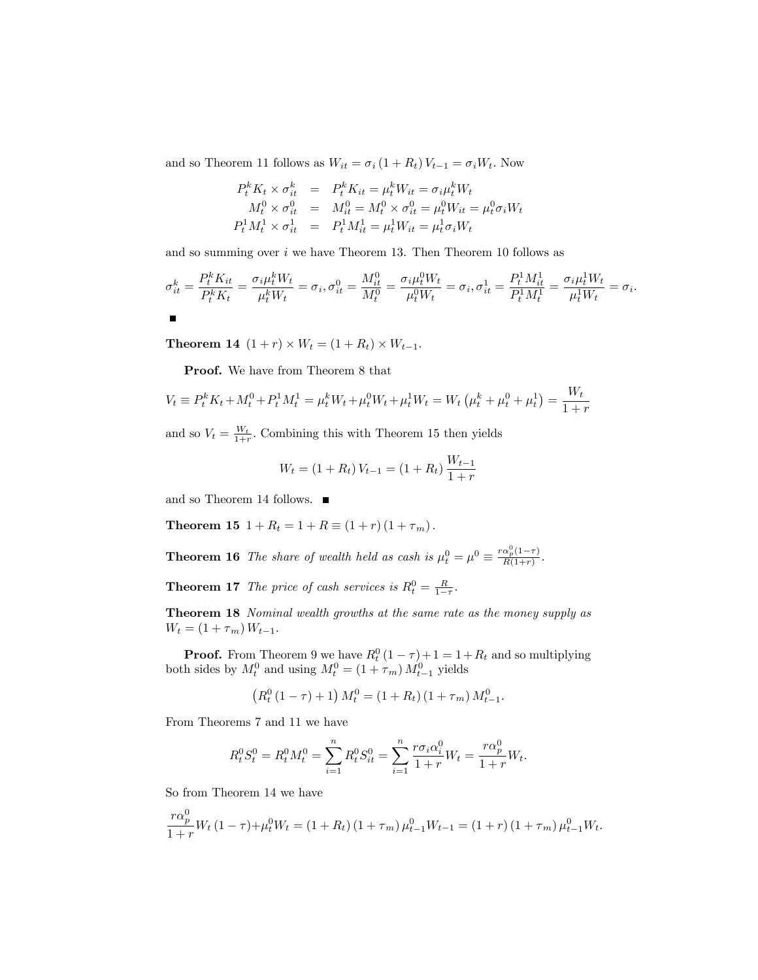and so Theorem 11 follows as  $W_{it} = \sigma_i \left(1 + R_t\right) V_{t-1} = \sigma_i W_t.$  Now

$$
P_t^k K_t \times \sigma_{it}^k = P_t^k K_{it} = \mu_t^k W_{it} = \sigma_i \mu_t^k W_t \nM_t^0 \times \sigma_{it}^0 = M_t^0 = M_t^0 \times \sigma_{it}^0 = \mu_t^0 W_{it} = \mu_t^0 \sigma_i W_t \nP_t^1 M_t^1 \times \sigma_{it}^1 = P_t^1 M_{it}^1 = \mu_t^1 W_{it} = \mu_t^1 \sigma_i W_t
$$

and so summing over  $i$  we have Theorem 13. Then Theorem 10 follows as

$$
\sigma_{it}^k = \frac{P_t^k K_{it}}{P_t^k K_t} = \frac{\sigma_i \mu_t^k W_t}{\mu_t^k W_t} = \sigma_i, \sigma_{it}^0 = \frac{M_{it}^0}{M_t^0} = \frac{\sigma_i \mu_t^0 W_t}{\mu_t^0 W_t} = \sigma_i, \sigma_{it}^1 = \frac{P_t^1 M_{it}^1}{P_t^1 M_t^1} = \frac{\sigma_i \mu_t^1 W_t}{\mu_t^1 W_t} = \sigma_i.
$$

**Theorem 14**  $(1 + r) \times W_t = (1 + R_t) \times W_{t-1}$ .

Proof. We have from Theorem 8 that

$$
V_t \equiv P_t^k K_t + M_t^0 + P_t^1 M_t^1 = \mu_t^k W_t + \mu_t^0 W_t + \mu_t^1 W_t = W_t \left( \mu_t^k + \mu_t^0 + \mu_t^1 \right) = \frac{W_t}{1+r}
$$

and so  $V_t = \frac{W_t}{1+r}$ . Combining this with Theorem 15 then yields

$$
W_t = (1 + R_t) V_{t-1} = (1 + R_t) \frac{W_{t-1}}{1 + r}
$$

and so Theorem 14 follows. ■

**Theorem 15**  $1 + R_t = 1 + R \equiv (1 + r)(1 + \tau_m).$ 

**Theorem 16** The share of wealth held as cash is  $\mu_t^0 = \mu^0 \equiv \frac{r\alpha_p^0(1-\tau)}{R(1+r)}$ .

**Theorem 17** The price of cash services is  $R_t^0 = \frac{R}{1-\tau}$ .

Theorem 18 Nominal wealth growths at the same rate as the money supply as  $W_t = (1 + \tau_m) W_{t-1}.$ 

**Proof.** From Theorem 9 we have  $R_t^0(1-\tau)+1=1+R_t$  and so multiplying both sides by  $M_t^0$  and using  $M_t^0 = (1 + \tau_m) M_{t-1}^0$  yields

$$
(R_t^0 (1 - \tau) + 1) M_t^0 = (1 + R_t) (1 + \tau_m) M_{t-1}^0.
$$

From Theorems 7 and 11 we have

$$
R_t^0 S_t^0 = R_t^0 M_t^0 = \sum_{i=1}^n R_t^0 S_{it}^0 = \sum_{i=1}^n \frac{r \sigma_i \alpha_i^0}{1+r} W_t = \frac{r \alpha_p^0}{1+r} W_t.
$$

So from Theorem 14 we have

$$
\frac{r\alpha_p^0}{1+r}W_t(1-\tau)+\mu_t^0W_t = (1+R_t)(1+\tau_m)\mu_{t-1}^0W_{t-1} = (1+r)(1+\tau_m)\mu_{t-1}^0W_t.
$$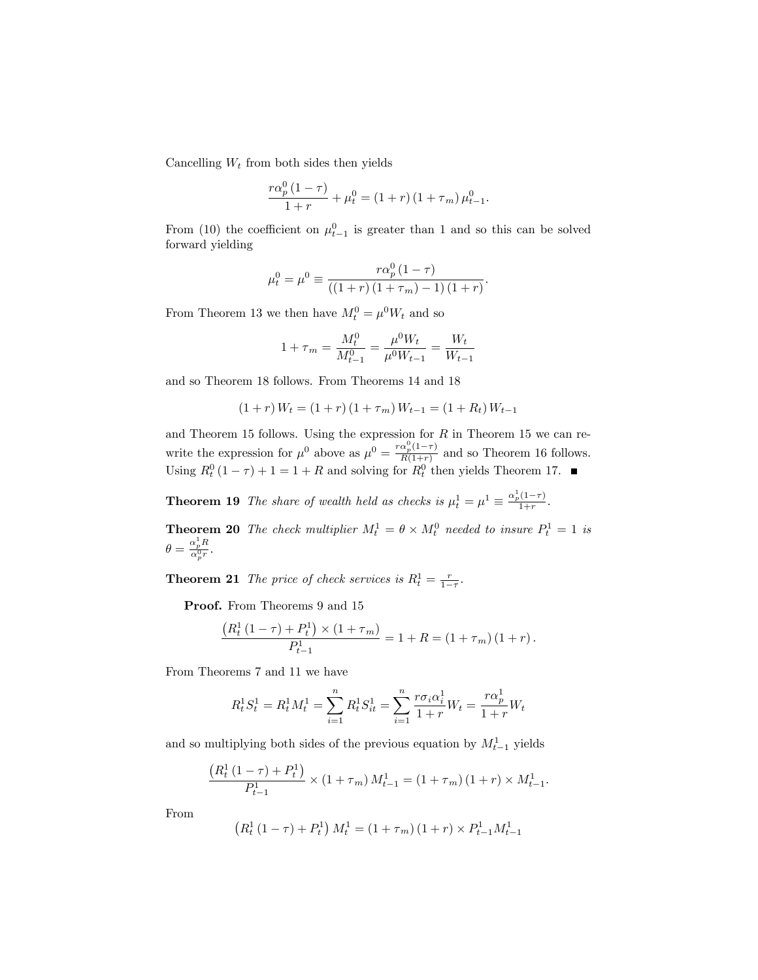Cancelling  $W_t$  from both sides then yields

$$
\frac{r\alpha_p^0 (1-\tau)}{1+r} + \mu_t^0 = (1+r) (1+\tau_m) \mu_{t-1}^0.
$$

From (10) the coefficient on  $\mu_{t-1}^0$  is greater than 1 and so this can be solved forward yielding

$$
\mu_t^0 = \mu^0 \equiv \frac{r\alpha_p^0 (1 - \tau)}{((1 + r)(1 + \tau_m) - 1)(1 + r)}.
$$

From Theorem 13 we then have  $M_t^0 = \mu^0 W_t$  and so

$$
1 + \tau_m = \frac{M_t^0}{M_{t-1}^0} = \frac{\mu^0 W_t}{\mu^0 W_{t-1}} = \frac{W_t}{W_{t-1}}
$$

and so Theorem 18 follows. From Theorems 14 and 18

$$
(1+r) W_t = (1+r) (1 + \tau_m) W_{t-1} = (1 + R_t) W_{t-1}
$$

and Theorem 15 follows. Using the expression for  $R$  in Theorem 15 we can rewrite the expression for  $\mu^0$  above as  $\mu^0 = \frac{r\alpha_p^0(1-\tau)}{R(1+r)}$  and so Theorem 16 follows. Using  $R_t^0(1-\tau) + 1 = 1 + R$  and solving for  $R_t^0$  then yields Theorem 17.

**Theorem 19** The share of wealth held as checks is  $\mu_t^1 = \mu^1 \equiv \frac{\alpha_p^1(1-\tau)}{1+r}$ .

**Theorem 20** The check multiplier  $M_t^1 = \theta \times M_t^0$  needed to insure  $P_t^1 = 1$  is  $\theta = \frac{\alpha_p^1 R}{\alpha_p^0 r}.$ 

**Theorem 21** The price of check services is  $R_t^1 = \frac{r}{1-r}$ .

Proof. From Theorems 9 and 15

$$
\frac{(R_t^1 (1 - \tau) + P_t^1) \times (1 + \tau_m)}{P_{t-1}^1} = 1 + R = (1 + \tau_m) (1 + r).
$$

From Theorems 7 and 11 we have

$$
R_t^1 S_t^1 = R_t^1 M_t^1 = \sum_{i=1}^n R_t^1 S_{it}^1 = \sum_{i=1}^n \frac{r \sigma_i \alpha_i^1}{1+r} W_t = \frac{r \alpha_p^1}{1+r} W_t
$$

and so multiplying both sides of the previous equation by  $M_{t-1}^1$  yields

$$
\frac{\left(R_t^1\left(1-\tau\right)+P_t^1\right)}{P_{t-1}^1} \times \left(1+\tau_m\right)M_{t-1}^1 = \left(1+\tau_m\right)\left(1+r\right) \times M_{t-1}^1.
$$

From

$$
(R_t^1 (1 - \tau) + P_t^1) M_t^1 = (1 + \tau_m) (1 + r) \times P_{t-1}^1 M_{t-1}^1
$$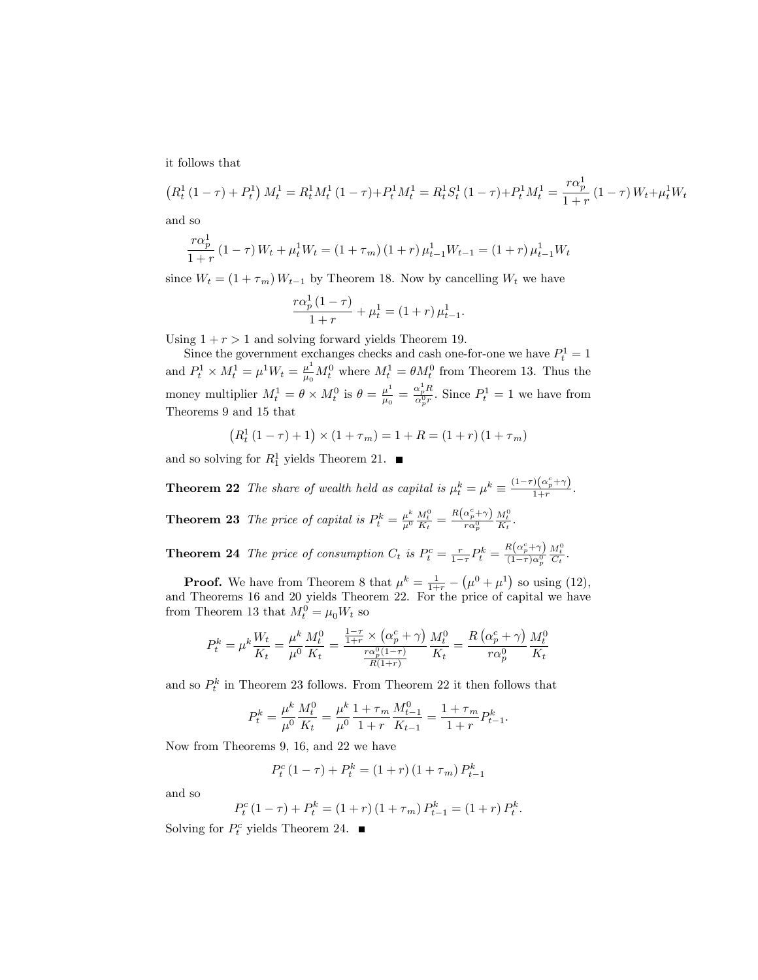it follows that

$$
(R_t^1 (1 - \tau) + P_t^1) M_t^1 = R_t^1 M_t^1 (1 - \tau) + P_t^1 M_t^1 = R_t^1 S_t^1 (1 - \tau) + P_t^1 M_t^1 = \frac{r \alpha_p^1}{1 + r} (1 - \tau) W_t + \mu_t^1 W_t
$$
 and so

and so

$$
\frac{r\alpha_p^1}{1+r} (1-\tau) W_t + \mu_t^1 W_t = (1+\tau_m) (1+r) \mu_{t-1}^1 W_{t-1} = (1+r) \mu_{t-1}^1 W_t
$$

since  $W_t = (1 + \tau_m) W_{t-1}$  by Theorem 18. Now by cancelling  $W_t$  we have

$$
\frac{r\alpha_p^1(1-\tau)}{1+r} + \mu_t^1 = (1+r)\,\mu_{t-1}^1.
$$

Using  $1 + r > 1$  and solving forward yields Theorem 19.

Since the government exchanges checks and cash one-for-one we have  $P_t^1 = 1$ and  $P_t^1 \times M_t^1 = \mu^1 W_t = \frac{\mu^1}{\mu_0}$  $\frac{\mu^1}{\mu_0} M_t^0$  where  $M_t^1 = \theta M_t^0$  from Theorem 13. Thus the money multiplier  $M_t^1 = \theta \times M_t^0$  is  $\theta = \frac{\mu^1}{\mu_0}$  $\frac{\mu^1}{\mu_0} = \frac{\alpha_p^1 R}{\alpha_p^0 r}$ . Since  $P_t^1 = 1$  we have from Theorems 9 and 15 that

$$
(R_t^1 (1 - \tau) + 1) \times (1 + \tau_m) = 1 + R = (1 + r)(1 + \tau_m)
$$

and so solving for  $R_1^1$  yields Theorem 21.

**Theorem 22** The share of wealth held as capital is  $\mu_t^k = \mu^k \equiv \frac{(1-\tau)(\alpha_p^c + \gamma)}{1+r}$  $\frac{1}{1+r}$ . **Theorem 23** The price of capital is  $P_t^k = \frac{\mu^k}{\mu^0}$  $\overline{\mu^0}$  $\frac{M_t^0}{K_t} = \frac{R\left(\alpha_p^c + \gamma\right)}{r \alpha_p^0}$  $r\alpha_p^0$  $\frac{M_t^0}{K_t}$ .

**Theorem 24** The price of consumption  $C_t$  is  $P_t^c = \frac{r}{1-\tau} P_t^k = \frac{R(\alpha_p^c + \gamma)}{(1-\tau)\alpha_p^0}$  $(1-\tau)\alpha_p^0$  $\frac{M_t^0}{C_t}$ .

**Proof.** We have from Theorem 8 that  $\mu^k = \frac{1}{1+r} - (\mu^0 + \mu^1)$  so using (12), and Theorems 16 and 20 yields Theorem 22. For the price of capital we have from Theorem 13 that  $M_t^0 = \mu_0 W_t$  so

$$
P_t^k = \mu^k \frac{W_t}{K_t} = \frac{\mu^k}{\mu^0} \frac{M_t^0}{K_t} = \frac{\frac{1-\tau}{1+r} \times (\alpha_p^c + \gamma)}{\frac{r\alpha_p^0(1-\tau)}{R(1+r)}} \frac{M_t^0}{K_t} = \frac{R(\alpha_p^c + \gamma)}{r\alpha_p^0} \frac{M_t^0}{K_t}
$$

and so  $P_t^k$  in Theorem 23 follows. From Theorem 22 it then follows that

$$
P_t^k = \frac{\mu^k}{\mu^0} \frac{M_t^0}{K_t} = \frac{\mu^k}{\mu^0} \frac{1 + \tau_m}{1 + r} \frac{M_{t-1}^0}{K_{t-1}} = \frac{1 + \tau_m}{1 + r} P_{t-1}^k.
$$

Now from Theorems 9, 16, and 22 we have

$$
P_t^c (1 - \tau) + P_t^k = (1 + r) (1 + \tau_m) P_{t-1}^k
$$

and so

$$
P_t^c (1 - \tau) + P_t^k = (1 + r) (1 + \tau_m) P_{t-1}^k = (1 + r) P_t^k.
$$

Solving for  $P_t^c$  yields Theorem 24.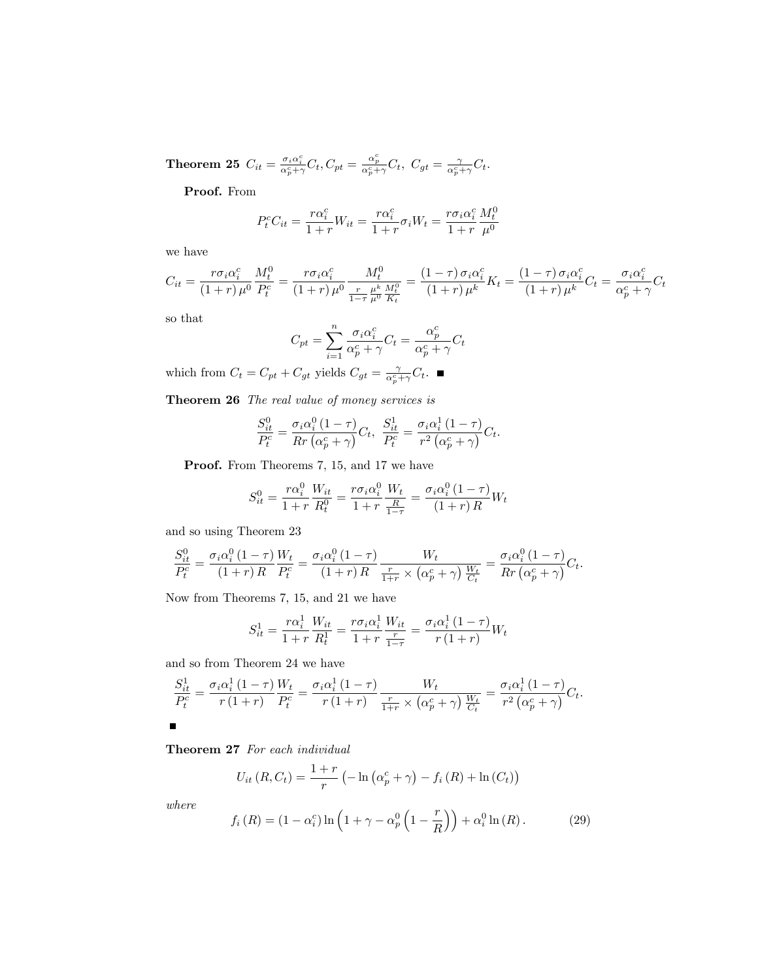$\textbf{Theorem 25} \ \ C_{it} = \frac{\sigma_i \alpha_i^c}{\alpha_p^c + \gamma} C_t, C_{pt} = \frac{\alpha_p^c}{\alpha_p^c + \gamma} C_t, \ \ C_{gt} = \frac{\gamma}{\alpha_p^c + \gamma} C_t.$ 

Proof. From

$$
P_t^c C_{it} = \frac{r\alpha_i^c}{1+r} W_{it} = \frac{r\alpha_i^c}{1+r} \sigma_i W_t = \frac{r\sigma_i \alpha_i^c}{1+r} \frac{M_t^0}{\mu^0}
$$

we have

$$
C_{it} = \frac{r\sigma_i\alpha_i^c}{(1+r)\mu^0} \frac{M_t^0}{P_t^c} = \frac{r\sigma_i\alpha_i^c}{(1+r)\mu^0} \frac{M_t^0}{\frac{r}{1-\tau}\mu^k \frac{M_t^0}{R_t}} = \frac{(1-\tau)\sigma_i\alpha_i^c}{(1+r)\mu^k} K_t = \frac{(1-\tau)\sigma_i\alpha_i^c}{(1+r)\mu^k} C_t = \frac{\sigma_i\alpha_i^c}{\alpha_p^c + \gamma} C_t
$$

so that

$$
C_{pt} = \sum_{i=1}^{n} \frac{\sigma_i \alpha_i^c}{\alpha_p^c + \gamma} C_t = \frac{\alpha_p^c}{\alpha_p^c + \gamma} C_t
$$

which from  $C_t = C_{pt} + C_{gt}$  yields  $C_{gt} = \frac{\gamma}{\alpha_p^c + \gamma} C_t$ .

Theorem 26 The real value of money services is

$$
\frac{S_{it}^0}{P_t^c} = \frac{\sigma_i \alpha_i^0 (1 - \tau)}{Rr \left(\alpha_p^c + \gamma\right)} C_t, \ \frac{S_{it}^1}{P_t^c} = \frac{\sigma_i \alpha_i^1 (1 - \tau)}{r^2 \left(\alpha_p^c + \gamma\right)} C_t.
$$

Proof. From Theorems 7, 15, and 17 we have

$$
S_{it}^{0} = \frac{r\alpha_i^0}{1+r} \frac{W_{it}}{R_t^0} = \frac{r\sigma_i\alpha_i^0}{1+r} \frac{W_t}{\frac{R}{1-\tau}} = \frac{\sigma_i\alpha_i^0}{(1+r)R} W_t
$$

and so using Theorem 23

$$
\frac{S_{it}^0}{P_t^c} = \frac{\sigma_i \alpha_i^0 (1-\tau)}{(1+r)R} \frac{W_t}{P_t^c} = \frac{\sigma_i \alpha_i^0 (1-\tau)}{(1+r)R} \frac{W_t}{\frac{r}{1+r} \times (\alpha_p^c + \gamma)} \frac{W_t}{\frac{W_t}{C_t}} = \frac{\sigma_i \alpha_i^0 (1-\tau)}{Rr (\alpha_p^c + \gamma)} C_t.
$$

Now from Theorems 7, 15, and 21 we have

$$
S_{it}^{1} = \frac{r\alpha_{i}^{1}}{1+r} \frac{W_{it}}{R_{t}^{1}} = \frac{r\sigma_{i}\alpha_{i}^{1}}{1+r} \frac{W_{it}}{\frac{r}{1-r}} = \frac{\sigma_{i}\alpha_{i}^{1}(1-r)}{r(1+r)} W_{t}
$$

and so from Theorem 24 we have

$$
\frac{S_{it}^1}{P_t^c} = \frac{\sigma_i \alpha_i^1 (1-\tau)}{r (1+r)} \frac{W_t}{P_t^c} = \frac{\sigma_i \alpha_i^1 (1-\tau)}{r (1+r)} \frac{W_t}{\frac{r}{1+r} \times (\alpha_p^c + \gamma)} \frac{W_t}{\frac{W_t}{C_t}} = \frac{\sigma_i \alpha_i^1 (1-\tau)}{r^2 (\alpha_p^c + \gamma)} C_t.
$$

#### Theorem 27 For each individual

$$
U_{it} (R, C_t) = \frac{1+r}{r} \left( -\ln \left( \alpha_p^c + \gamma \right) - f_i (R) + \ln \left( C_t \right) \right)
$$

where

$$
f_i(R) = (1 - \alpha_i^c) \ln \left( 1 + \gamma - \alpha_p^0 \left( 1 - \frac{r}{R} \right) \right) + \alpha_i^0 \ln(R). \tag{29}
$$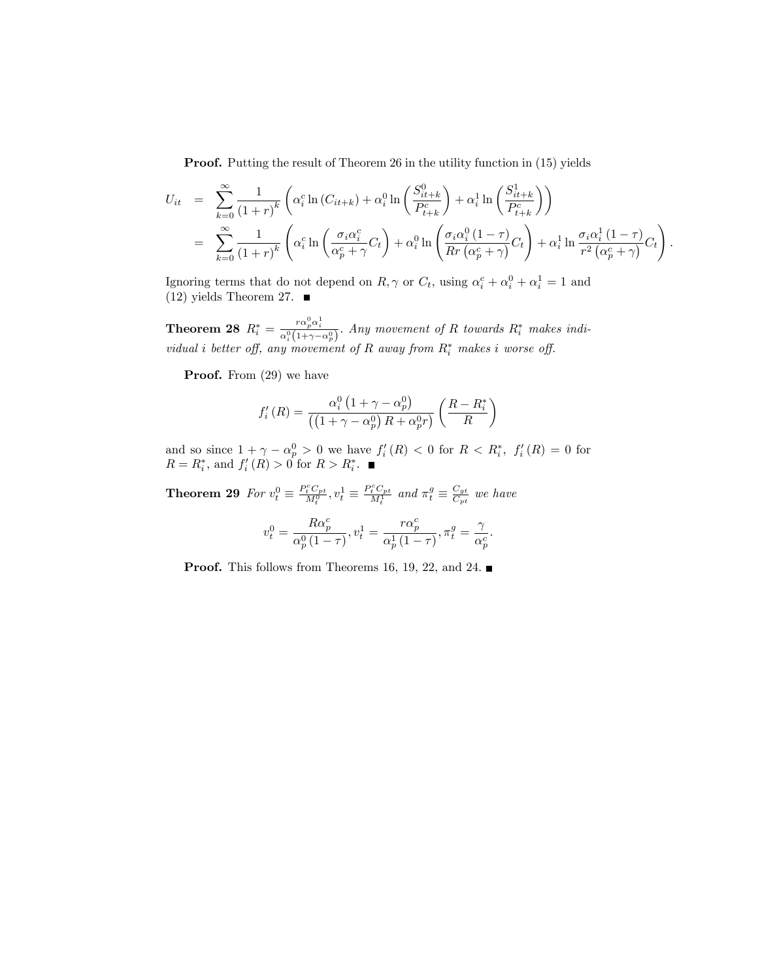Proof. Putting the result of Theorem 26 in the utility function in (15) yields

$$
U_{it} = \sum_{k=0}^{\infty} \frac{1}{(1+r)^k} \left( \alpha_i^c \ln(C_{it+k}) + \alpha_i^0 \ln\left(\frac{S_{it+k}^0}{P_{t+k}^c}\right) + \alpha_i^1 \ln\left(\frac{S_{it+k}^1}{P_{t+k}^c}\right) \right)
$$
  

$$
= \sum_{k=0}^{\infty} \frac{1}{(1+r)^k} \left( \alpha_i^c \ln\left(\frac{\sigma_i \alpha_i^c}{\alpha_p^c + \gamma} C_t\right) + \alpha_i^0 \ln\left(\frac{\sigma_i \alpha_i^0 (1-\tau)}{Rr (\alpha_p^c + \gamma)} C_t\right) + \alpha_i^1 \ln\frac{\sigma_i \alpha_i^1 (1-\tau)}{r^2 (\alpha_p^c + \gamma)} C_t \right).
$$

Ignoring terms that do not depend on  $R, \gamma$  or  $C_t$ , using  $\alpha_i^c + \alpha_i^0 + \alpha_i^1 = 1$  and  $(12)$  yields Theorem 27.

**Theorem 28**  $R_i^* = \frac{r\alpha_p^0\alpha_i^1}{\alpha_i^0(1+\gamma-\alpha_p^0)}$ . Any movement of R towards  $R_i^*$  makes individual i better off, any movement of R away from  $R_i^*$  makes i worse off.

Proof. From  $(29)$  we have

$$
f'_{i}(R) = \frac{\alpha_i^0 \left(1 + \gamma - \alpha_p^0\right)}{\left(\left(1 + \gamma - \alpha_p^0\right)R + \alpha_p^0 r\right)} \left(\frac{R - R_i^*}{R}\right)
$$

and so since  $1 + \gamma - \alpha_p^0 > 0$  we have  $f_i'(R) < 0$  for  $R < R_i^*$ ,  $f_i'(R) = 0$  for  $R = R_i^*$ , and  $f'_i(R) > 0$  for  $R > R_i^*$ .

**Theorem 29** For  $v_t^0 \equiv \frac{P_t^c C_{pt}}{M_t^0}$ ,  $v_t^1 \equiv \frac{P_t^c C_{pt}}{M_t^1}$  and  $\pi_t^g \equiv \frac{C_{gt}}{C_{pt}}$  $rac{C_{gt}}{C_{pt}}$  we have

$$
v^0_t = \frac{R\alpha^c_p}{\alpha^0_p\left(1-\tau\right)}, v^1_t = \frac{r\alpha^c_p}{\alpha^1_p\left(1-\tau\right)}, \pi^g_t = \frac{\gamma}{\alpha^c_p}
$$

:

**Proof.** This follows from Theorems 16, 19, 22, and 24.